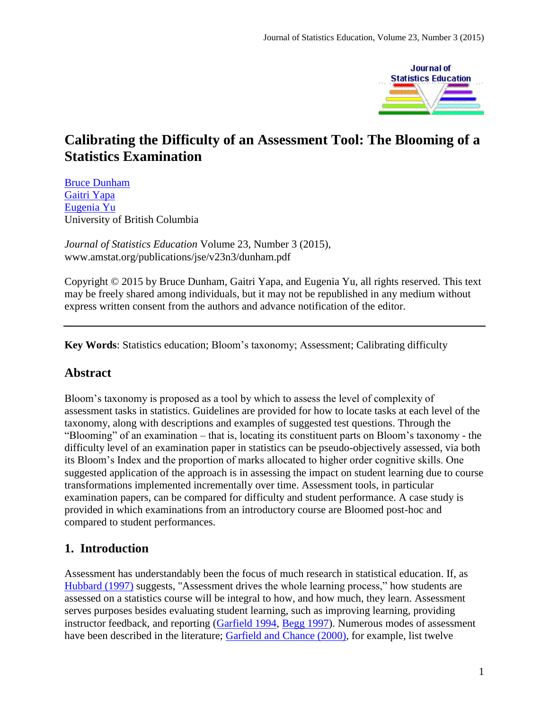

# **Calibrating the Difficulty of an Assessment Tool: The Blooming of a Statistics Examination**

[Bruce Dunham](#page-32-0) [Gaitri Yapa](#page-32-1) [Eugenia Yu](#page-32-2) University of British Columbia

*Journal of Statistics Education* Volume 23, Number 3 (2015), www.amstat.org/publications/jse/v23n3/dunham.pdf

Copyright © 2015 by Bruce Dunham, Gaitri Yapa, and Eugenia Yu, all rights reserved. This text may be freely shared among individuals, but it may not be republished in any medium without express written consent from the authors and advance notification of the editor.

**Key Words**: Statistics education; Bloom's taxonomy; Assessment; Calibrating difficulty

## **Abstract**

Bloom's taxonomy is proposed as a tool by which to assess the level of complexity of assessment tasks in statistics. Guidelines are provided for how to locate tasks at each level of the taxonomy, along with descriptions and examples of suggested test questions. Through the "Blooming" of an examination – that is, locating its constituent parts on Bloom's taxonomy - the difficulty level of an examination paper in statistics can be pseudo-objectively assessed, via both its Bloom's Index and the proportion of marks allocated to higher order cognitive skills. One suggested application of the approach is in assessing the impact on student learning due to course transformations implemented incrementally over time. Assessment tools, in particular examination papers, can be compared for difficulty and student performance. A case study is provided in which examinations from an introductory course are Bloomed post-hoc and compared to student performances.

## **1. Introduction**

Assessment has understandably been the focus of much research in statistical education. If, as [Hubbard \(1997\)](#page-30-0) suggests, "Assessment drives the whole learning process," how students are assessed on a statistics course will be integral to how, and how much, they learn. Assessment serves purposes besides evaluating student learning, such as improving learning, providing instructor feedback, and reporting [\(Garfield 1994,](#page-30-1) [Begg 1997\)](#page-29-0). Numerous modes of assessment have been described in the literature; [Garfield and Chance \(2000\),](#page-30-2) for example, list twelve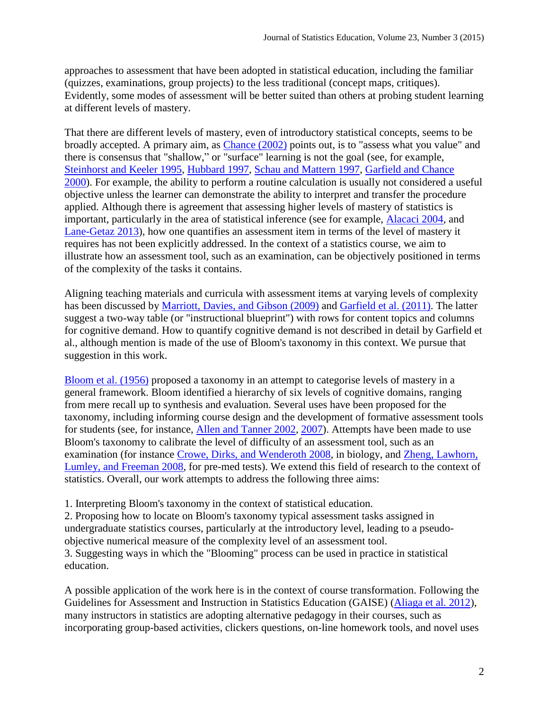approaches to assessment that have been adopted in statistical education, including the familiar (quizzes, examinations, group projects) to the less traditional (concept maps, critiques). Evidently, some modes of assessment will be better suited than others at probing student learning at different levels of mastery.

That there are different levels of mastery, even of introductory statistical concepts, seems to be broadly accepted. A primary aim, as [Chance \(2002\)](#page-29-1) points out, is to "assess what you value" and there is consensus that "shallow," or "surface" learning is not the goal (see, for example, [Steinhorst and Keeler 1995,](#page-31-0) [Hubbard 1997,](#page-30-0) [Schau and Mattern 1997,](#page-31-1) [Garfield and Chance](#page-30-2)  [2000\)](#page-30-2). For example, the ability to perform a routine calculation is usually not considered a useful objective unless the learner can demonstrate the ability to interpret and transfer the procedure applied. Although there is agreement that assessing higher levels of mastery of statistics is important, particularly in the area of statistical inference (see for example, [Alacaci 2004,](#page-29-2) and [Lane-Getaz 2013\)](#page-30-3), how one quantifies an assessment item in terms of the level of mastery it requires has not been explicitly addressed. In the context of a statistics course, we aim to illustrate how an assessment tool, such as an examination, can be objectively positioned in terms of the complexity of the tasks it contains.

Aligning teaching materials and curricula with assessment items at varying levels of complexity has been discussed by [Marriott, Davies, and Gibson](#page-31-2) (2009) and [Garfield et al. \(2011\).](#page-30-4) The latter suggest a two-way table (or "instructional blueprint") with rows for content topics and columns for cognitive demand. How to quantify cognitive demand is not described in detail by Garfield et al., although mention is made of the use of Bloom's taxonomy in this context. We pursue that suggestion in this work.

[Bloom et al. \(1956\)](#page-29-3) proposed a taxonomy in an attempt to categorise levels of mastery in a general framework. Bloom identified a hierarchy of six levels of cognitive domains, ranging from mere recall up to synthesis and evaluation. Several uses have been proposed for the taxonomy, including informing course design and the development of formative assessment tools for students (see, for instance, [Allen and Tanner 2002,](#page-29-4) [2007\)](#page-29-5). Attempts have been made to use Bloom's taxonomy to calibrate the level of difficulty of an assessment tool, such as an examination (for instance Crowe, [Dirks, and Wenderoth](#page-29-6) 2008, in biology, and [Zheng, Lawhorn,](#page-32-3)  [Lumley, and Freeman](#page-32-3) 2008, for pre-med tests). We extend this field of research to the context of statistics. Overall, our work attempts to address the following three aims:

1. Interpreting Bloom's taxonomy in the context of statistical education.

2. Proposing how to locate on Bloom's taxonomy typical assessment tasks assigned in undergraduate statistics courses, particularly at the introductory level, leading to a pseudoobjective numerical measure of the complexity level of an assessment tool. 3. Suggesting ways in which the "Blooming" process can be used in practice in statistical education.

A possible application of the work here is in the context of course transformation. Following the Guidelines for Assessment and Instruction in Statistics Education (GAISE) [\(Aliaga et al. 2012\)](#page-29-7), many instructors in statistics are adopting alternative pedagogy in their courses, such as incorporating group-based activities, clickers questions, on-line homework tools, and novel uses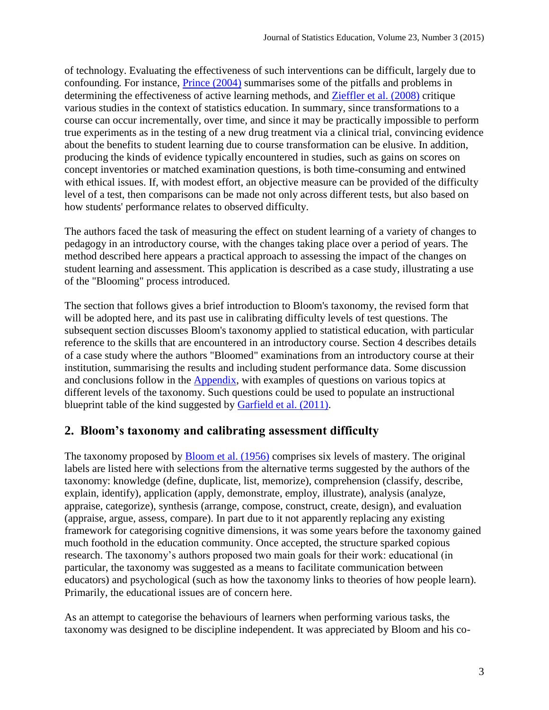of technology. Evaluating the effectiveness of such interventions can be difficult, largely due to confounding. For instance, [Prince \(2004\)](#page-31-3) summarises some of the pitfalls and problems in determining the effectiveness of active learning methods, and [Zieffler et al. \(2008\)](#page-32-4) critique various studies in the context of statistics education. In summary, since transformations to a course can occur incrementally, over time, and since it may be practically impossible to perform true experiments as in the testing of a new drug treatment via a clinical trial, convincing evidence about the benefits to student learning due to course transformation can be elusive. In addition, producing the kinds of evidence typically encountered in studies, such as gains on scores on concept inventories or matched examination questions, is both time-consuming and entwined with ethical issues. If, with modest effort, an objective measure can be provided of the difficulty level of a test, then comparisons can be made not only across different tests, but also based on how students' performance relates to observed difficulty.

The authors faced the task of measuring the effect on student learning of a variety of changes to pedagogy in an introductory course, with the changes taking place over a period of years. The method described here appears a practical approach to assessing the impact of the changes on student learning and assessment. This application is described as a case study, illustrating a use of the "Blooming" process introduced.

The section that follows gives a brief introduction to Bloom's taxonomy, the revised form that will be adopted here, and its past use in calibrating difficulty levels of test questions. The subsequent section discusses Bloom's taxonomy applied to statistical education, with particular reference to the skills that are encountered in an introductory course. Section 4 describes details of a case study where the authors "Bloomed" examinations from an introductory course at their institution, summarising the results and including student performance data. Some discussion and conclusions follow in the [Appendix,](#page-21-0) with examples of questions on various topics at different levels of the taxonomy. Such questions could be used to populate an instructional blueprint table of the kind suggested by [Garfield et al. \(2011\).](#page-30-4)

## **2. Bloom's taxonomy and calibrating assessment difficulty**

The taxonomy proposed by **Bloom et al.** (1956) comprises six levels of mastery. The original labels are listed here with selections from the alternative terms suggested by the authors of the taxonomy: knowledge (define, duplicate, list, memorize), comprehension (classify, describe, explain, identify), application (apply, demonstrate, employ, illustrate), analysis (analyze, appraise, categorize), synthesis (arrange, compose, construct, create, design), and evaluation (appraise, argue, assess, compare). In part due to it not apparently replacing any existing framework for categorising cognitive dimensions, it was some years before the taxonomy gained much foothold in the education community. Once accepted, the structure sparked copious research. The taxonomy's authors proposed two main goals for their work: educational (in particular, the taxonomy was suggested as a means to facilitate communication between educators) and psychological (such as how the taxonomy links to theories of how people learn). Primarily, the educational issues are of concern here.

As an attempt to categorise the behaviours of learners when performing various tasks, the taxonomy was designed to be discipline independent. It was appreciated by Bloom and his co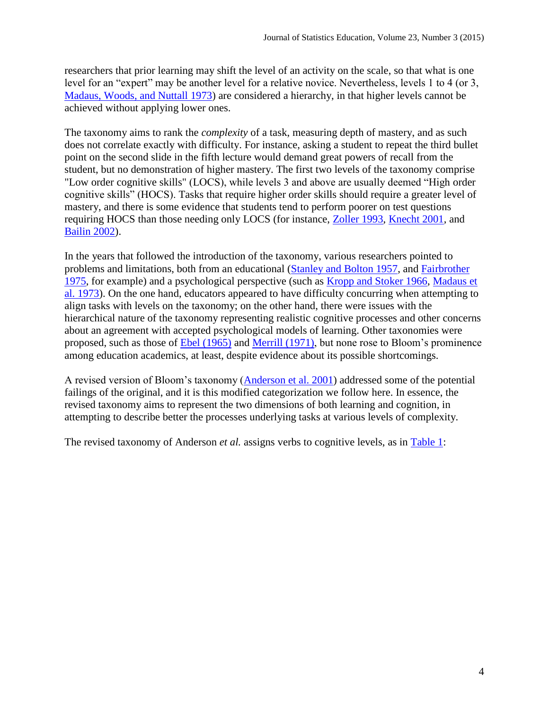researchers that prior learning may shift the level of an activity on the scale, so that what is one level for an "expert" may be another level for a relative novice. Nevertheless, levels 1 to 4 (or 3, [Madaus, Woods, and Nuttall 1973\)](#page-30-5) are considered a hierarchy, in that higher levels cannot be achieved without applying lower ones.

The taxonomy aims to rank the *complexity* of a task, measuring depth of mastery, and as such does not correlate exactly with difficulty. For instance, asking a student to repeat the third bullet point on the second slide in the fifth lecture would demand great powers of recall from the student, but no demonstration of higher mastery. The first two levels of the taxonomy comprise "Low order cognitive skills" (LOCS), while levels 3 and above are usually deemed "High order cognitive skills" (HOCS). Tasks that require higher order skills should require a greater level of mastery, and there is some evidence that students tend to perform poorer on test questions requiring HOCS than those needing only LOCS (for instance, [Zoller 1993,](#page-32-5) [Knecht 2001,](#page-30-6) and [Bailin 2002\)](#page-29-8).

In the years that followed the introduction of the taxonomy, various researchers pointed to problems and limitations, both from an educational [\(Stanley and Bolton 1957,](#page-31-4) and [Fairbrother](#page-30-7)  [1975,](#page-30-7) for example) and a psychological perspective (such as [Kropp and Stoker 1966,](#page-30-8) [Madaus et](#page-30-5)  al. [1973\)](#page-30-5). On the one hand, educators appeared to have difficulty concurring when attempting to align tasks with levels on the taxonomy; on the other hand, there were issues with the hierarchical nature of the taxonomy representing realistic cognitive processes and other concerns about an agreement with accepted psychological models of learning. Other taxonomies were proposed, such as those of [Ebel \(1965\)](#page-30-9) and [Merrill \(1971\),](#page-31-5) but none rose to Bloom's prominence among education academics, at least, despite evidence about its possible shortcomings.

A revised version of Bloom's taxonomy [\(Anderson et al.](#page-29-9) 2001) addressed some of the potential failings of the original, and it is this modified categorization we follow here. In essence, the revised taxonomy aims to represent the two dimensions of both learning and cognition, in attempting to describe better the processes underlying tasks at various levels of complexity.

<span id="page-3-0"></span>The revised taxonomy of Anderson *et al.* assigns verbs to cognitive levels, as in [Table 1:](#page-3-0)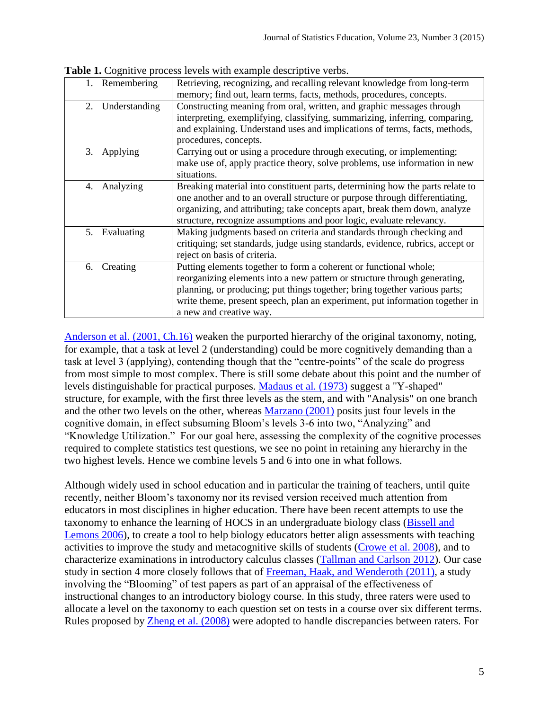| Retrieving, recognizing, and recalling relevant knowledge from long-term       |
|--------------------------------------------------------------------------------|
| memory; find out, learn terms, facts, methods, procedures, concepts.           |
| Constructing meaning from oral, written, and graphic messages through          |
| interpreting, exemplifying, classifying, summarizing, inferring, comparing,    |
| and explaining. Understand uses and implications of terms, facts, methods,     |
| procedures, concepts.                                                          |
| Carrying out or using a procedure through executing, or implementing;          |
| make use of, apply practice theory, solve problems, use information in new     |
| situations.                                                                    |
| Breaking material into constituent parts, determining how the parts relate to  |
| one another and to an overall structure or purpose through differentiating,    |
| organizing, and attributing; take concepts apart, break them down, analyze     |
| structure, recognize assumptions and poor logic, evaluate relevancy.           |
| Making judgments based on criteria and standards through checking and          |
| critiquing; set standards, judge using standards, evidence, rubrics, accept or |
| reject on basis of criteria.                                                   |
| Putting elements together to form a coherent or functional whole;              |
| reorganizing elements into a new pattern or structure through generating,      |
| planning, or producing; put things together; bring together various parts;     |
| write theme, present speech, plan an experiment, put information together in   |
| a new and creative way.                                                        |
|                                                                                |

**Table 1.** Cognitive process levels with example descriptive verbs.

[Anderson et al.](#page-29-9) (2001, Ch.16) weaken the purported hierarchy of the original taxonomy, noting, for example, that a task at level 2 (understanding) could be more cognitively demanding than a task at level 3 (applying), contending though that the "centre-points" of the scale do progress from most simple to most complex. There is still some debate about this point and the number of levels distinguishable for practical purposes. [Madaus et al](#page-30-5)*.* (1973) suggest a "Y-shaped" structure, for example, with the first three levels as the stem, and with "Analysis" on one branch and the other two levels on the other, whereas [Marzano \(2001\)](#page-31-6) posits just four levels in the cognitive domain, in effect subsuming Bloom's levels 3-6 into two, "Analyzing" and "Knowledge Utilization." For our goal here, assessing the complexity of the cognitive processes required to complete statistics test questions, we see no point in retaining any hierarchy in the two highest levels. Hence we combine levels 5 and 6 into one in what follows.

Although widely used in school education and in particular the training of teachers, until quite recently, neither Bloom's taxonomy nor its revised version received much attention from educators in most disciplines in higher education. There have been recent attempts to use the taxonomy to enhance the learning of HOCS in an undergraduate biology class [\(Bissell and](#page-29-10)  [Lemons 2006\)](#page-29-10), to create a tool to help biology educators better align assessments with teaching activities to improve the study and metacognitive skills of students [\(Crowe et al.](#page-29-6) 2008), and to characterize examinations in introductory calculus classes (Tallman [and Carlson 2012\)](#page-31-7). Our case study in section 4 more closely follows that of [Freeman, Haak, and Wenderoth](#page-30-10) (2011), a study involving the "Blooming" of test papers as part of an appraisal of the effectiveness of instructional changes to an introductory biology course. In this study, three raters were used to allocate a level on the taxonomy to each question set on tests in a course over six different terms. Rules proposed by [Zheng et al.](#page-32-3) (2008) were adopted to handle discrepancies between raters. For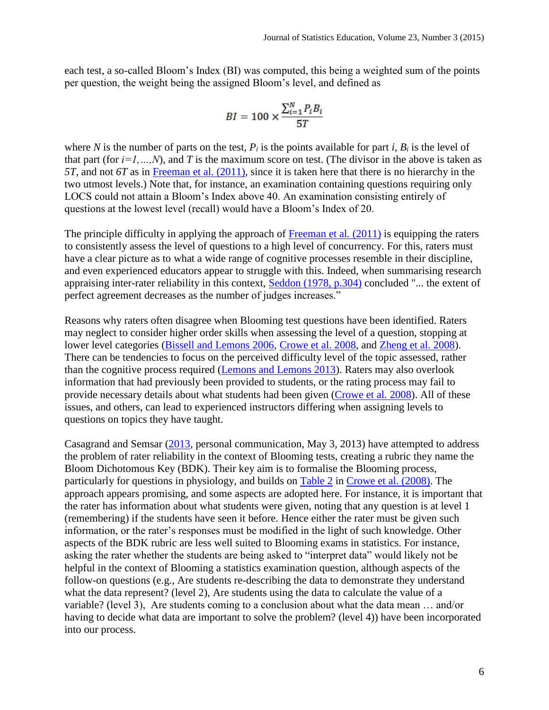each test, a so-called Bloom's Index (BI) was computed, this being a weighted sum of the points per question, the weight being the assigned Bloom's level, and defined as

$$
BI = 100 \times \frac{\sum_{i=1}^{N} P_i B_i}{5T}
$$

where *N* is the number of parts on the test,  $P_i$  is the points available for part *i*,  $B_i$  is the level of that part (for  $i=1,...,N$ ), and T is the maximum score on test. (The divisor in the above is taken as *5T*, and not *6T* as in [Freeman et al. \(2011\),](#page-30-10) since it is taken here that there is no hierarchy in the two utmost levels.) Note that, for instance, an examination containing questions requiring only LOCS could not attain a Bloom's Index above 40. An examination consisting entirely of questions at the lowest level (recall) would have a Bloom's Index of 20.

The principle difficulty in applying the approach of [Freeman et al](#page-30-10)*.* (2011) is equipping the raters to consistently assess the level of questions to a high level of concurrency. For this, raters must have a clear picture as to what a wide range of cognitive processes resemble in their discipline, and even experienced educators appear to struggle with this. Indeed, when summarising research appraising inter-rater reliability in this context, [Seddon \(1978, p.304\)](#page-31-8) concluded "... the extent of perfect agreement decreases as the number of judges increases."

Reasons why raters often disagree when Blooming test questions have been identified. Raters may neglect to consider higher order skills when assessing the level of a question, stopping at lower level categories [\(Bissell and Lemons 2006,](#page-29-10) [Crowe et al.](#page-29-6) 2008, and [Zheng et al.](#page-32-3) 2008). There can be tendencies to focus on the perceived difficulty level of the topic assessed, rather than the cognitive process required [\(Lemons and Lemons 2013\)](#page-30-11). Raters may also overlook information that had previously been provided to students, or the rating process may fail to provide necessary details about what students had been given [\(Crowe et al.](#page-29-6) 2008). All of these issues, and others, can lead to experienced instructors differing when assigning levels to questions on topics they have taught.

Casagrand and Semsar [\(2013,](#page-29-11) personal communication, May 3, 2013) have attempted to address the problem of rater reliability in the context of Blooming tests, creating a rubric they name the Bloom Dichotomous Key (BDK). Their key aim is to formalise the Blooming process, particularly for questions in physiology, and builds on [Table 2](#page-7-0) in [Crowe et al.](#page-29-6) (2008). The approach appears promising, and some aspects are adopted here. For instance, it is important that the rater has information about what students were given, noting that any question is at level 1 (remembering) if the students have seen it before. Hence either the rater must be given such information, or the rater's responses must be modified in the light of such knowledge. Other aspects of the BDK rubric are less well suited to Blooming exams in statistics. For instance, asking the rater whether the students are being asked to "interpret data" would likely not be helpful in the context of Blooming a statistics examination question, although aspects of the follow-on questions (e.g., Are students re-describing the data to demonstrate they understand what the data represent? (level 2), Are students using the data to calculate the value of a variable? (level 3), Are students coming to a conclusion about what the data mean … and/or having to decide what data are important to solve the problem? (level 4)) have been incorporated into our process.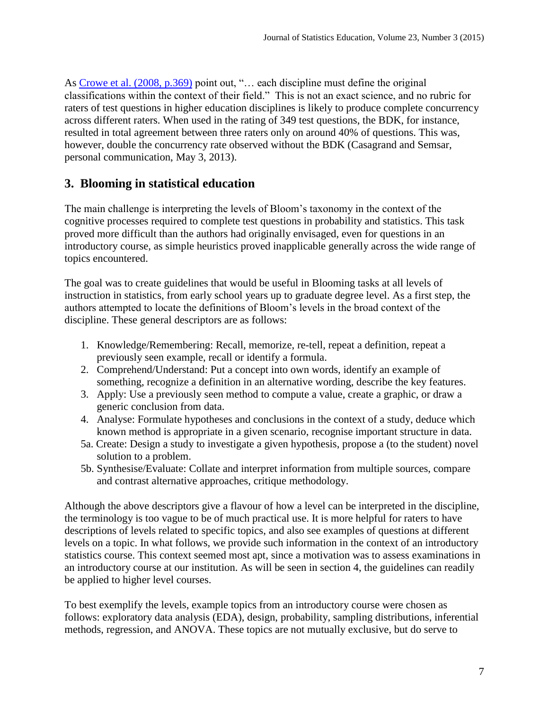As Crowe et al. [\(2008, p.369\)](#page-29-6) point out, "... each discipline must define the original classifications within the context of their field." This is not an exact science, and no rubric for raters of test questions in higher education disciplines is likely to produce complete concurrency across different raters. When used in the rating of 349 test questions, the BDK, for instance, resulted in total agreement between three raters only on around 40% of questions. This was, however, double the concurrency rate observed without the BDK (Casagrand and Semsar, personal communication, May 3, 2013).

## **3. Blooming in statistical education**

The main challenge is interpreting the levels of Bloom's taxonomy in the context of the cognitive processes required to complete test questions in probability and statistics. This task proved more difficult than the authors had originally envisaged, even for questions in an introductory course, as simple heuristics proved inapplicable generally across the wide range of topics encountered.

The goal was to create guidelines that would be useful in Blooming tasks at all levels of instruction in statistics, from early school years up to graduate degree level. As a first step, the authors attempted to locate the definitions of Bloom's levels in the broad context of the discipline. These general descriptors are as follows:

- 1. Knowledge/Remembering: Recall, memorize, re-tell, repeat a definition, repeat a previously seen example, recall or identify a formula.
- 2. Comprehend/Understand: Put a concept into own words, identify an example of something, recognize a definition in an alternative wording, describe the key features.
- 3. Apply: Use a previously seen method to compute a value, create a graphic, or draw a generic conclusion from data.
- 4. Analyse: Formulate hypotheses and conclusions in the context of a study, deduce which known method is appropriate in a given scenario, recognise important structure in data.
- 5a. Create: Design a study to investigate a given hypothesis, propose a (to the student) novel solution to a problem.
- 5b. Synthesise/Evaluate: Collate and interpret information from multiple sources, compare and contrast alternative approaches, critique methodology.

Although the above descriptors give a flavour of how a level can be interpreted in the discipline, the terminology is too vague to be of much practical use. It is more helpful for raters to have descriptions of levels related to specific topics, and also see examples of questions at different levels on a topic. In what follows, we provide such information in the context of an introductory statistics course. This context seemed most apt, since a motivation was to assess examinations in an introductory course at our institution. As will be seen in section 4, the guidelines can readily be applied to higher level courses.

To best exemplify the levels, example topics from an introductory course were chosen as follows: exploratory data analysis (EDA), design, probability, sampling distributions, inferential methods, regression, and ANOVA. These topics are not mutually exclusive, but do serve to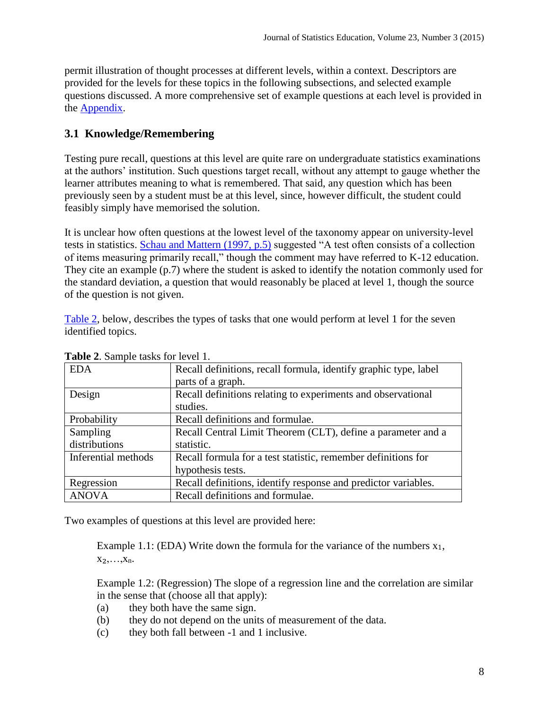permit illustration of thought processes at different levels, within a context. Descriptors are provided for the levels for these topics in the following subsections, and selected example questions discussed. A more comprehensive set of example questions at each level is provided in the [Appendix.](#page-21-0)

#### **3.1 Knowledge/Remembering**

Testing pure recall, questions at this level are quite rare on undergraduate statistics examinations at the authors' institution. Such questions target recall, without any attempt to gauge whether the learner attributes meaning to what is remembered. That said, any question which has been previously seen by a student must be at this level, since, however difficult, the student could feasibly simply have memorised the solution.

It is unclear how often questions at the lowest level of the taxonomy appear on university-level tests in statistics. [Schau and Mattern \(1997, p.5\)](#page-31-1) suggested "A test often consists of a collection of items measuring primarily recall," though the comment may have referred to K-12 education. They cite an example (p.7) where the student is asked to identify the notation commonly used for the standard deviation, a question that would reasonably be placed at level 1, though the source of the question is not given.

[Table 2,](#page-7-0) below, describes the types of tasks that one would perform at level 1 for the seven identified topics.

| <b>EDA</b>          | Recall definitions, recall formula, identify graphic type, label |  |  |  |
|---------------------|------------------------------------------------------------------|--|--|--|
|                     | parts of a graph.                                                |  |  |  |
| Design              | Recall definitions relating to experiments and observational     |  |  |  |
|                     | studies.                                                         |  |  |  |
| Probability         | Recall definitions and formulae.                                 |  |  |  |
| Sampling            | Recall Central Limit Theorem (CLT), define a parameter and a     |  |  |  |
| distributions       | statistic.                                                       |  |  |  |
| Inferential methods | Recall formula for a test statistic, remember definitions for    |  |  |  |
|                     | hypothesis tests.                                                |  |  |  |
| Regression          | Recall definitions, identify response and predictor variables.   |  |  |  |
| <b>ANOVA</b>        | Recall definitions and formulae.                                 |  |  |  |

<span id="page-7-0"></span>**Table 2**. Sample tasks for level 1.

Two examples of questions at this level are provided here:

Example 1.1: (EDA) Write down the formula for the variance of the numbers  $x_1$ ,  $X_2,\ldots,X_n$ .

Example 1.2: (Regression) The slope of a regression line and the correlation are similar in the sense that (choose all that apply):

- (a) they both have the same sign.
- (b) they do not depend on the units of measurement of the data.
- (c) they both fall between -1 and 1 inclusive.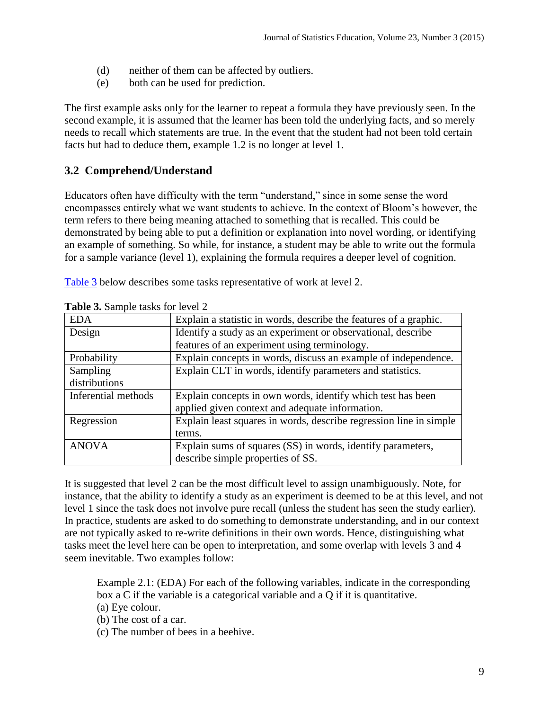- (d) neither of them can be affected by outliers.
- (e) both can be used for prediction.

The first example asks only for the learner to repeat a formula they have previously seen. In the second example, it is assumed that the learner has been told the underlying facts, and so merely needs to recall which statements are true. In the event that the student had not been told certain facts but had to deduce them, example 1.2 is no longer at level 1.

#### **3.2 Comprehend/Understand**

Educators often have difficulty with the term "understand," since in some sense the word encompasses entirely what we want students to achieve. In the context of Bloom's however, the term refers to there being meaning attached to something that is recalled. This could be demonstrated by being able to put a definition or explanation into novel wording, or identifying an example of something. So while, for instance, a student may be able to write out the formula for a sample variance (level 1), explaining the formula requires a deeper level of cognition.

<span id="page-8-0"></span>

| <b>Table 3.</b> Sample tasks for level 2 |                                                                    |  |  |  |
|------------------------------------------|--------------------------------------------------------------------|--|--|--|
| <b>EDA</b>                               | Explain a statistic in words, describe the features of a graphic.  |  |  |  |
| Design                                   | Identify a study as an experiment or observational, describe       |  |  |  |
|                                          | features of an experiment using terminology.                       |  |  |  |
| Probability                              | Explain concepts in words, discuss an example of independence.     |  |  |  |
| Sampling                                 | Explain CLT in words, identify parameters and statistics.          |  |  |  |
| distributions                            |                                                                    |  |  |  |
| Inferential methods                      | Explain concepts in own words, identify which test has been        |  |  |  |
|                                          | applied given context and adequate information.                    |  |  |  |
| Regression                               | Explain least squares in words, describe regression line in simple |  |  |  |
|                                          | terms.                                                             |  |  |  |
| <b>ANOVA</b>                             | Explain sums of squares (SS) in words, identify parameters,        |  |  |  |
|                                          | describe simple properties of SS.                                  |  |  |  |

[Table 3](#page-8-0) below describes some tasks representative of work at level 2.

It is suggested that level 2 can be the most difficult level to assign unambiguously. Note, for instance, that the ability to identify a study as an experiment is deemed to be at this level, and not level 1 since the task does not involve pure recall (unless the student has seen the study earlier). In practice, students are asked to do something to demonstrate understanding, and in our context are not typically asked to re-write definitions in their own words. Hence, distinguishing what tasks meet the level here can be open to interpretation, and some overlap with levels 3 and 4 seem inevitable. Two examples follow:

Example 2.1: (EDA) For each of the following variables, indicate in the corresponding box a C if the variable is a categorical variable and a Q if it is quantitative.

(a) Eye colour.

(b) The cost of a car.

(c) The number of bees in a beehive.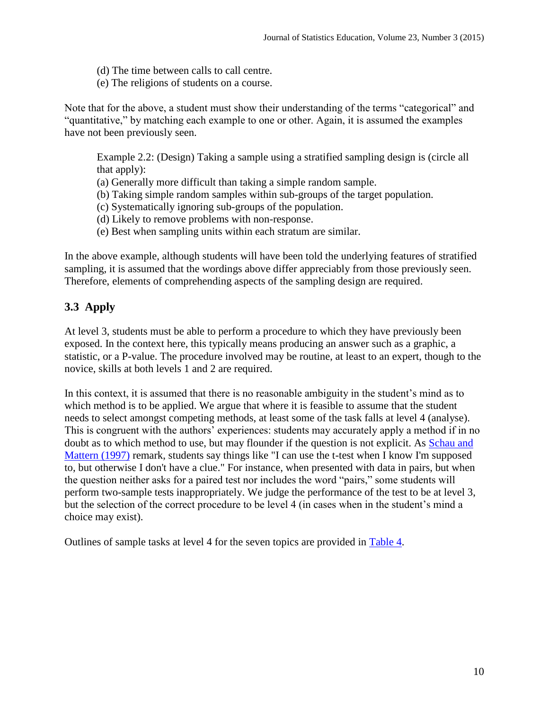- (d) The time between calls to call centre.
- (e) The religions of students on a course.

Note that for the above, a student must show their understanding of the terms "categorical" and "quantitative," by matching each example to one or other. Again, it is assumed the examples have not been previously seen.

Example 2.2: (Design) Taking a sample using a stratified sampling design is (circle all that apply):

- (a) Generally more difficult than taking a simple random sample.
- (b) Taking simple random samples within sub-groups of the target population.
- (c) Systematically ignoring sub-groups of the population.
- (d) Likely to remove problems with non-response.
- (e) Best when sampling units within each stratum are similar.

In the above example, although students will have been told the underlying features of stratified sampling, it is assumed that the wordings above differ appreciably from those previously seen. Therefore, elements of comprehending aspects of the sampling design are required.

## **3.3 Apply**

At level 3, students must be able to perform a procedure to which they have previously been exposed. In the context here, this typically means producing an answer such as a graphic, a statistic, or a P-value. The procedure involved may be routine, at least to an expert, though to the novice, skills at both levels 1 and 2 are required.

In this context, it is assumed that there is no reasonable ambiguity in the student's mind as to which method is to be applied. We argue that where it is feasible to assume that the student needs to select amongst competing methods, at least some of the task falls at level 4 (analyse). This is congruent with the authors' experiences: students may accurately apply a method if in no doubt as to which method to use, but may flounder if the question is not explicit. As [Schau and](#page-31-1)  [Mattern \(1997\)](#page-31-1) remark, students say things like "I can use the t-test when I know I'm supposed to, but otherwise I don't have a clue." For instance, when presented with data in pairs, but when the question neither asks for a paired test nor includes the word "pairs," some students will perform two-sample tests inappropriately. We judge the performance of the test to be at level 3, but the selection of the correct procedure to be level 4 (in cases when in the student's mind a choice may exist).

<span id="page-9-0"></span>Outlines of sample tasks at level 4 for the seven topics are provided in [Table 4.](#page-9-0)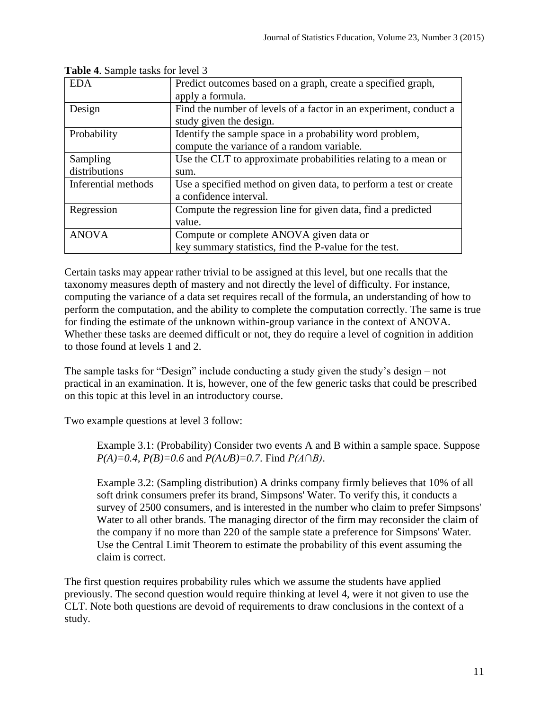| <b>EDA</b>          | Predict outcomes based on a graph, create a specified graph,      |  |  |  |
|---------------------|-------------------------------------------------------------------|--|--|--|
|                     | apply a formula.                                                  |  |  |  |
| Design              | Find the number of levels of a factor in an experiment, conduct a |  |  |  |
|                     | study given the design.                                           |  |  |  |
| Probability         | Identify the sample space in a probability word problem,          |  |  |  |
|                     | compute the variance of a random variable.                        |  |  |  |
| Sampling            | Use the CLT to approximate probabilities relating to a mean or    |  |  |  |
| distributions       | sum.                                                              |  |  |  |
| Inferential methods | Use a specified method on given data, to perform a test or create |  |  |  |
|                     | a confidence interval.                                            |  |  |  |
| Regression          | Compute the regression line for given data, find a predicted      |  |  |  |
|                     | value.                                                            |  |  |  |
| <b>ANOVA</b>        | Compute or complete ANOVA given data or                           |  |  |  |
|                     | key summary statistics, find the P-value for the test.            |  |  |  |

**Table 4**. Sample tasks for level 3

Certain tasks may appear rather trivial to be assigned at this level, but one recalls that the taxonomy measures depth of mastery and not directly the level of difficulty. For instance, computing the variance of a data set requires recall of the formula, an understanding of how to perform the computation, and the ability to complete the computation correctly. The same is true for finding the estimate of the unknown within-group variance in the context of ANOVA. Whether these tasks are deemed difficult or not, they do require a level of cognition in addition to those found at levels 1 and 2.

The sample tasks for "Design" include conducting a study given the study's design – not practical in an examination. It is, however, one of the few generic tasks that could be prescribed on this topic at this level in an introductory course.

Two example questions at level 3 follow:

Example 3.1: (Probability) Consider two events A and B within a sample space. Suppose *P(A)=0.4, P(B)=0.6* and *P(A∪B)=0.7*. Find *P(A∩B)*.

Example 3.2: (Sampling distribution) A drinks company firmly believes that 10% of all soft drink consumers prefer its brand, Simpsons' Water. To verify this, it conducts a survey of 2500 consumers, and is interested in the number who claim to prefer Simpsons' Water to all other brands. The managing director of the firm may reconsider the claim of the company if no more than 220 of the sample state a preference for Simpsons' Water. Use the Central Limit Theorem to estimate the probability of this event assuming the claim is correct.

The first question requires probability rules which we assume the students have applied previously. The second question would require thinking at level 4, were it not given to use the CLT. Note both questions are devoid of requirements to draw conclusions in the context of a study.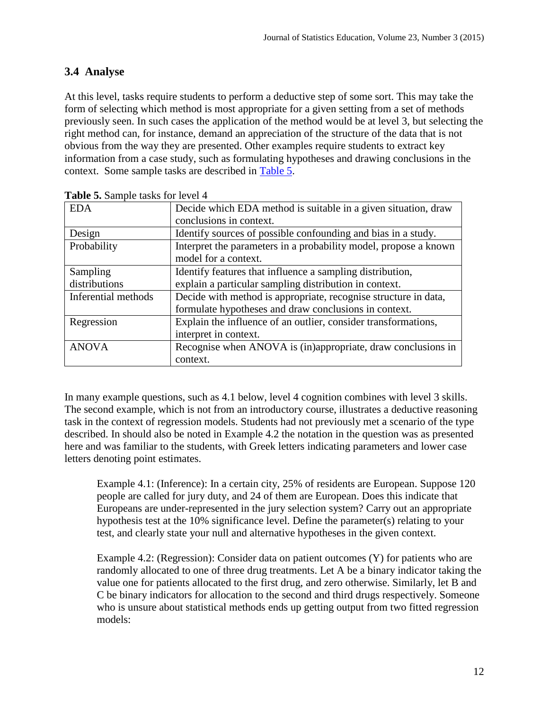## **3.4 Analyse**

At this level, tasks require students to perform a deductive step of some sort. This may take the form of selecting which method is most appropriate for a given setting from a set of methods previously seen. In such cases the application of the method would be at level 3, but selecting the right method can, for instance, demand an appreciation of the structure of the data that is not obvious from the way they are presented. Other examples require students to extract key information from a case study, such as formulating hypotheses and drawing conclusions in the context. Some sample tasks are described in [Table 5.](#page-11-0)

| <b>Tuble of Builiple against the relation</b> |                                                                  |  |  |  |  |
|-----------------------------------------------|------------------------------------------------------------------|--|--|--|--|
| <b>EDA</b>                                    | Decide which EDA method is suitable in a given situation, draw   |  |  |  |  |
|                                               | conclusions in context.                                          |  |  |  |  |
| Design                                        | Identify sources of possible confounding and bias in a study.    |  |  |  |  |
| Probability                                   | Interpret the parameters in a probability model, propose a known |  |  |  |  |
|                                               | model for a context.                                             |  |  |  |  |
| Sampling                                      | Identify features that influence a sampling distribution,        |  |  |  |  |
| distributions                                 | explain a particular sampling distribution in context.           |  |  |  |  |
| Inferential methods                           | Decide with method is appropriate, recognise structure in data,  |  |  |  |  |
|                                               | formulate hypotheses and draw conclusions in context.            |  |  |  |  |
| Regression                                    | Explain the influence of an outlier, consider transformations,   |  |  |  |  |
|                                               | interpret in context.                                            |  |  |  |  |
| <b>ANOVA</b>                                  | Recognise when ANOVA is (in)appropriate, draw conclusions in     |  |  |  |  |
|                                               | context.                                                         |  |  |  |  |

<span id="page-11-0"></span>**Table 5.** Sample tasks for level 4

In many example questions, such as 4.1 below, level 4 cognition combines with level 3 skills. The second example, which is not from an introductory course, illustrates a deductive reasoning task in the context of regression models. Students had not previously met a scenario of the type described. In should also be noted in Example 4.2 the notation in the question was as presented here and was familiar to the students, with Greek letters indicating parameters and lower case letters denoting point estimates.

Example 4.1: (Inference): In a certain city, 25% of residents are European. Suppose 120 people are called for jury duty, and 24 of them are European. Does this indicate that Europeans are under-represented in the jury selection system? Carry out an appropriate hypothesis test at the 10% significance level. Define the parameter(s) relating to your test, and clearly state your null and alternative hypotheses in the given context.

Example 4.2: (Regression): Consider data on patient outcomes (Y) for patients who are randomly allocated to one of three drug treatments. Let A be a binary indicator taking the value one for patients allocated to the first drug, and zero otherwise. Similarly, let B and C be binary indicators for allocation to the second and third drugs respectively. Someone who is unsure about statistical methods ends up getting output from two fitted regression models: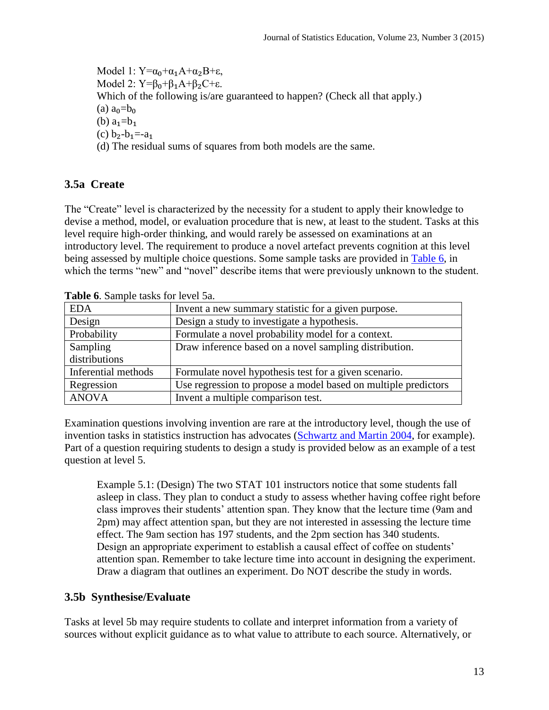Model 1:  $Y = \alpha_0 + \alpha_1 A + \alpha_2 B + \epsilon$ , Model 2:  $Y = \beta_0 + \beta_1 A + \beta_2 C + \epsilon$ . Which of the following is/are guaranteed to happen? (Check all that apply.)  $(a)$  a<sub>0</sub>=b<sub>0</sub> (b)  $a_1 = b_1$  $(c) b<sub>2</sub>-b<sub>1</sub>=-a<sub>1</sub>$ (d) The residual sums of squares from both models are the same.

## **3.5a Create**

The "Create" level is characterized by the necessity for a student to apply their knowledge to devise a method, model, or evaluation procedure that is new, at least to the student. Tasks at this level require high-order thinking, and would rarely be assessed on examinations at an introductory level. The requirement to produce a novel artefact prevents cognition at this level being assessed by multiple choice questions. Some sample tasks are provided in [Table 6,](#page-12-0) in which the terms "new" and "novel" describe items that were previously unknown to the student.

| <b>EDA</b>          | Invent a new summary statistic for a given purpose.            |  |  |  |
|---------------------|----------------------------------------------------------------|--|--|--|
| Design              | Design a study to investigate a hypothesis.                    |  |  |  |
| Probability         | Formulate a novel probability model for a context.             |  |  |  |
| Sampling            | Draw inference based on a novel sampling distribution.         |  |  |  |
| distributions       |                                                                |  |  |  |
| Inferential methods | Formulate novel hypothesis test for a given scenario.          |  |  |  |
| Regression          | Use regression to propose a model based on multiple predictors |  |  |  |
| <b>ANOVA</b>        | Invent a multiple comparison test.                             |  |  |  |

<span id="page-12-0"></span>**Table 6**. Sample tasks for level 5a.

Examination questions involving invention are rare at the introductory level, though the use of invention tasks in statistics instruction has advocates [\(Schwartz and Martin 2004,](#page-31-9) for example). Part of a question requiring students to design a study is provided below as an example of a test question at level 5.

Example 5.1: (Design) The two STAT 101 instructors notice that some students fall asleep in class. They plan to conduct a study to assess whether having coffee right before class improves their students' attention span. They know that the lecture time (9am and 2pm) may affect attention span, but they are not interested in assessing the lecture time effect. The 9am section has 197 students, and the 2pm section has 340 students. Design an appropriate experiment to establish a causal effect of coffee on students' attention span. Remember to take lecture time into account in designing the experiment. Draw a diagram that outlines an experiment. Do NOT describe the study in words.

## **3.5b Synthesise/Evaluate**

Tasks at level 5b may require students to collate and interpret information from a variety of sources without explicit guidance as to what value to attribute to each source. Alternatively, or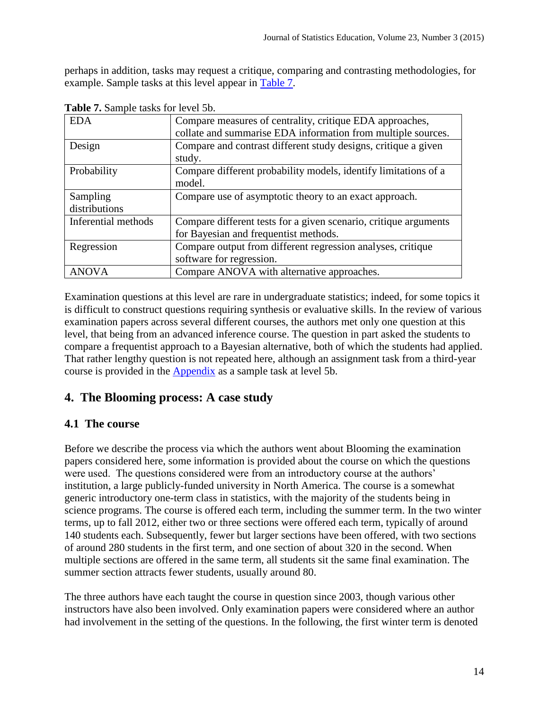perhaps in addition, tasks may request a critique, comparing and contrasting methodologies, for example. Sample tasks at this level appear in [Table 7.](#page-13-0)

| <b>EDA</b>          | Compare measures of centrality, critique EDA approaches,         |  |  |
|---------------------|------------------------------------------------------------------|--|--|
|                     | collate and summarise EDA information from multiple sources.     |  |  |
| Design              | Compare and contrast different study designs, critique a given   |  |  |
|                     | study.                                                           |  |  |
| Probability         | Compare different probability models, identify limitations of a  |  |  |
|                     | model.                                                           |  |  |
| Sampling            | Compare use of asymptotic theory to an exact approach.           |  |  |
| distributions       |                                                                  |  |  |
| Inferential methods | Compare different tests for a given scenario, critique arguments |  |  |
|                     | for Bayesian and frequentist methods.                            |  |  |
| Regression          | Compare output from different regression analyses, critique      |  |  |
|                     | software for regression.                                         |  |  |
| <b>ANOVA</b>        | Compare ANOVA with alternative approaches.                       |  |  |

<span id="page-13-0"></span>**Table 7.** Sample tasks for level 5b.

Examination questions at this level are rare in undergraduate statistics; indeed, for some topics it is difficult to construct questions requiring synthesis or evaluative skills. In the review of various examination papers across several different courses, the authors met only one question at this level, that being from an advanced inference course. The question in part asked the students to compare a frequentist approach to a Bayesian alternative, both of which the students had applied. That rather lengthy question is not repeated here, although an assignment task from a third-year course is provided in the [Appendix](#page-21-0) as a sample task at level 5b.

## **4. The Blooming process: A case study**

### **4.1 The course**

Before we describe the process via which the authors went about Blooming the examination papers considered here, some information is provided about the course on which the questions were used. The questions considered were from an introductory course at the authors' institution, a large publicly-funded university in North America. The course is a somewhat generic introductory one-term class in statistics, with the majority of the students being in science programs. The course is offered each term, including the summer term. In the two winter terms, up to fall 2012, either two or three sections were offered each term, typically of around 140 students each. Subsequently, fewer but larger sections have been offered, with two sections of around 280 students in the first term, and one section of about 320 in the second. When multiple sections are offered in the same term, all students sit the same final examination. The summer section attracts fewer students, usually around 80.

The three authors have each taught the course in question since 2003, though various other instructors have also been involved. Only examination papers were considered where an author had involvement in the setting of the questions. In the following, the first winter term is denoted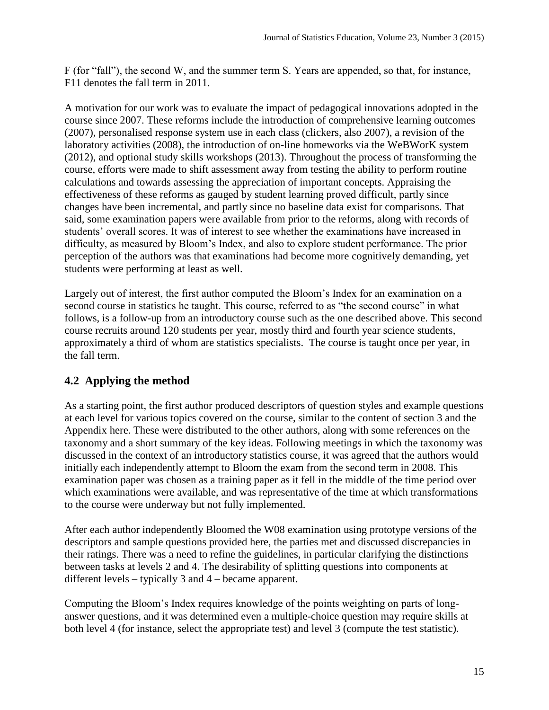F (for "fall"), the second W, and the summer term S. Years are appended, so that, for instance, F11 denotes the fall term in 2011.

A motivation for our work was to evaluate the impact of pedagogical innovations adopted in the course since 2007. These reforms include the introduction of comprehensive learning outcomes (2007), personalised response system use in each class (clickers, also 2007), a revision of the laboratory activities (2008), the introduction of on-line homeworks via the WeBWorK system (2012), and optional study skills workshops (2013). Throughout the process of transforming the course, efforts were made to shift assessment away from testing the ability to perform routine calculations and towards assessing the appreciation of important concepts. Appraising the effectiveness of these reforms as gauged by student learning proved difficult, partly since changes have been incremental, and partly since no baseline data exist for comparisons. That said, some examination papers were available from prior to the reforms, along with records of students' overall scores. It was of interest to see whether the examinations have increased in difficulty, as measured by Bloom's Index, and also to explore student performance. The prior perception of the authors was that examinations had become more cognitively demanding, yet students were performing at least as well.

Largely out of interest, the first author computed the Bloom's Index for an examination on a second course in statistics he taught. This course, referred to as "the second course" in what follows, is a follow-up from an introductory course such as the one described above. This second course recruits around 120 students per year, mostly third and fourth year science students, approximately a third of whom are statistics specialists. The course is taught once per year, in the fall term.

## **4.2 Applying the method**

As a starting point, the first author produced descriptors of question styles and example questions at each level for various topics covered on the course, similar to the content of section 3 and the Appendix here. These were distributed to the other authors, along with some references on the taxonomy and a short summary of the key ideas. Following meetings in which the taxonomy was discussed in the context of an introductory statistics course, it was agreed that the authors would initially each independently attempt to Bloom the exam from the second term in 2008. This examination paper was chosen as a training paper as it fell in the middle of the time period over which examinations were available, and was representative of the time at which transformations to the course were underway but not fully implemented.

After each author independently Bloomed the W08 examination using prototype versions of the descriptors and sample questions provided here, the parties met and discussed discrepancies in their ratings. There was a need to refine the guidelines, in particular clarifying the distinctions between tasks at levels 2 and 4. The desirability of splitting questions into components at different levels – typically 3 and 4 – became apparent.

Computing the Bloom's Index requires knowledge of the points weighting on parts of longanswer questions, and it was determined even a multiple-choice question may require skills at both level 4 (for instance, select the appropriate test) and level 3 (compute the test statistic).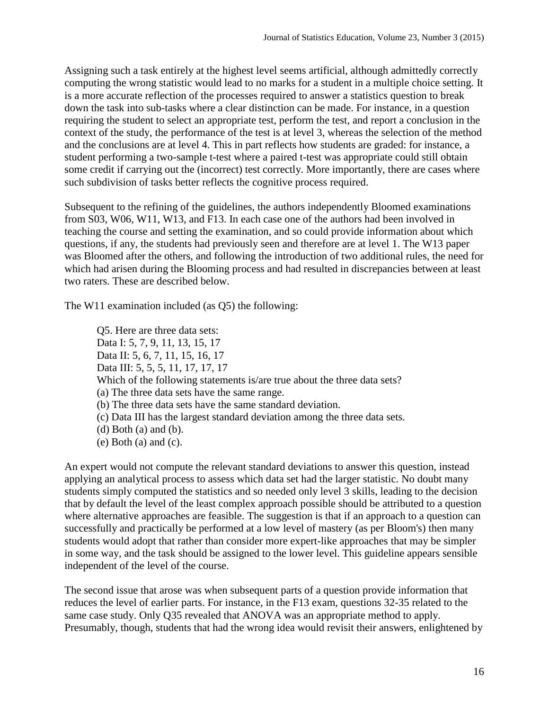Assigning such a task entirely at the highest level seems artificial, although admittedly correctly computing the wrong statistic would lead to no marks for a student in a multiple choice setting. It is a more accurate reflection of the processes required to answer a statistics question to break down the task into sub-tasks where a clear distinction can be made. For instance, in a question requiring the student to select an appropriate test, perform the test, and report a conclusion in the context of the study, the performance of the test is at level 3, whereas the selection of the method and the conclusions are at level 4. This in part reflects how students are graded: for instance, a student performing a two-sample t-test where a paired t-test was appropriate could still obtain some credit if carrying out the (incorrect) test correctly. More importantly, there are cases where such subdivision of tasks better reflects the cognitive process required.

Subsequent to the refining of the guidelines, the authors independently Bloomed examinations from S03, W06, W11, W13, and F13. In each case one of the authors had been involved in teaching the course and setting the examination, and so could provide information about which questions, if any, the students had previously seen and therefore are at level 1. The W13 paper was Bloomed after the others, and following the introduction of two additional rules, the need for which had arisen during the Blooming process and had resulted in discrepancies between at least two raters. These are described below.

The W11 examination included (as Q5) the following:

Q5. Here are three data sets: Data I: 5, 7, 9, 11, 13, 15, 17 Data II: 5, 6, 7, 11, 15, 16, 17 Data III: 5, 5, 5, 11, 17, 17, 17 Which of the following statements is/are true about the three data sets? (a) The three data sets have the same range. (b) The three data sets have the same standard deviation. (c) Data III has the largest standard deviation among the three data sets. (d) Both (a) and (b). (e) Both (a) and (c).

An expert would not compute the relevant standard deviations to answer this question, instead applying an analytical process to assess which data set had the larger statistic. No doubt many students simply computed the statistics and so needed only level 3 skills, leading to the decision that by default the level of the least complex approach possible should be attributed to a question where alternative approaches are feasible. The suggestion is that if an approach to a question can successfully and practically be performed at a low level of mastery (as per Bloom's) then many students would adopt that rather than consider more expert-like approaches that may be simpler in some way, and the task should be assigned to the lower level. This guideline appears sensible independent of the level of the course.

The second issue that arose was when subsequent parts of a question provide information that reduces the level of earlier parts. For instance, in the F13 exam, questions 32-35 related to the same case study. Only Q35 revealed that ANOVA was an appropriate method to apply. Presumably, though, students that had the wrong idea would revisit their answers, enlightened by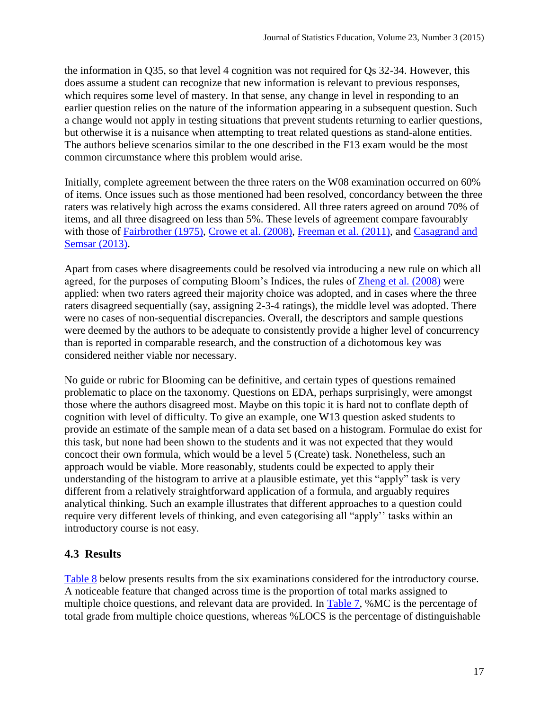the information in Q35, so that level 4 cognition was not required for Qs 32-34. However, this does assume a student can recognize that new information is relevant to previous responses, which requires some level of mastery. In that sense, any change in level in responding to an earlier question relies on the nature of the information appearing in a subsequent question. Such a change would not apply in testing situations that prevent students returning to earlier questions, but otherwise it is a nuisance when attempting to treat related questions as stand-alone entities. The authors believe scenarios similar to the one described in the F13 exam would be the most common circumstance where this problem would arise.

Initially, complete agreement between the three raters on the W08 examination occurred on 60% of items. Once issues such as those mentioned had been resolved, concordancy between the three raters was relatively high across the exams considered. All three raters agreed on around 70% of items, and all three disagreed on less than 5%. These levels of agreement compare favourably with those of [Fairbrother \(1975\),](#page-30-7) [Crowe et al.](#page-29-6) (2008), [Freeman et al.](#page-30-10) (2011), and Casagrand and [Semsar \(2013\).](#page-29-11)

Apart from cases where disagreements could be resolved via introducing a new rule on which all agreed, for the purposes of computing Bloom's Indices, the rules of [Zheng et al.](#page-32-3) (2008) were applied: when two raters agreed their majority choice was adopted, and in cases where the three raters disagreed sequentially (say, assigning 2-3-4 ratings), the middle level was adopted. There were no cases of non-sequential discrepancies. Overall, the descriptors and sample questions were deemed by the authors to be adequate to consistently provide a higher level of concurrency than is reported in comparable research, and the construction of a dichotomous key was considered neither viable nor necessary.

No guide or rubric for Blooming can be definitive, and certain types of questions remained problematic to place on the taxonomy. Questions on EDA, perhaps surprisingly, were amongst those where the authors disagreed most. Maybe on this topic it is hard not to conflate depth of cognition with level of difficulty. To give an example, one W13 question asked students to provide an estimate of the sample mean of a data set based on a histogram. Formulae do exist for this task, but none had been shown to the students and it was not expected that they would concoct their own formula, which would be a level 5 (Create) task. Nonetheless, such an approach would be viable. More reasonably, students could be expected to apply their understanding of the histogram to arrive at a plausible estimate, yet this "apply" task is very different from a relatively straightforward application of a formula, and arguably requires analytical thinking. Such an example illustrates that different approaches to a question could require very different levels of thinking, and even categorising all "apply'' tasks within an introductory course is not easy.

### **4.3 Results**

[Table 8](#page-17-0) below presents results from the six examinations considered for the introductory course. A noticeable feature that changed across time is the proportion of total marks assigned to multiple choice questions, and relevant data are provided. In [Table 7,](#page-13-0) %MC is the percentage of total grade from multiple choice questions, whereas %LOCS is the percentage of distinguishable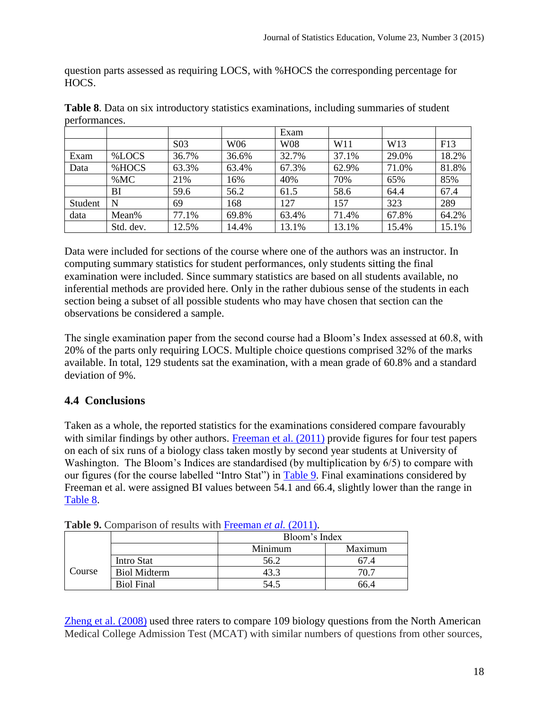question parts assessed as requiring LOCS, with %HOCS the corresponding percentage for HOCS.

|         |           |                  |       | Exam       |       |       |       |
|---------|-----------|------------------|-------|------------|-------|-------|-------|
|         |           | S <sub>0</sub> 3 | W06   | <b>W08</b> | W11   | W13   | F13   |
| Exam    | %LOCS     | 36.7%            | 36.6% | 32.7%      | 37.1% | 29.0% | 18.2% |
| Data    | %HOCS     | 63.3%            | 63.4% | 67.3%      | 62.9% | 71.0% | 81.8% |
|         | %MC       | 21%              | 16%   | 40%        | 70%   | 65%   | 85%   |
|         | BI        | 59.6             | 56.2  | 61.5       | 58.6  | 64.4  | 67.4  |
| Student | N         | 69               | 168   | 127        | 157   | 323   | 289   |
| data    | Mean%     | 77.1%            | 69.8% | 63.4%      | 71.4% | 67.8% | 64.2% |
|         | Std. dev. | 12.5%            | 14.4% | 13.1%      | 13.1% | 15.4% | 15.1% |

<span id="page-17-0"></span>**Table 8**. Data on six introductory statistics examinations, including summaries of student performances.

Data were included for sections of the course where one of the authors was an instructor. In computing summary statistics for student performances, only students sitting the final examination were included. Since summary statistics are based on all students available, no inferential methods are provided here. Only in the rather dubious sense of the students in each section being a subset of all possible students who may have chosen that section can the observations be considered a sample.

The single examination paper from the second course had a Bloom's Index assessed at 60.8, with 20% of the parts only requiring LOCS. Multiple choice questions comprised 32% of the marks available. In total, 129 students sat the examination, with a mean grade of 60.8% and a standard deviation of 9%.

## **4.4 Conclusions**

Taken as a whole, the reported statistics for the examinations considered compare favourably with similar findings by other authors. [Freeman et al.](#page-30-10) (2011) provide figures for four test papers on each of six runs of a biology class taken mostly by second year students at University of Washington. The Bloom's Indices are standardised (by multiplication by  $6/5$ ) to compare with our figures (for the course labelled "Intro Stat") in [Table 9.](#page-17-1) Final examinations considered by Freeman et al. were assigned BI values between 54.1 and 66.4, slightly lower than the range in [Table 8.](#page-17-0)

|        |                     | Bloom's Index |         |  |
|--------|---------------------|---------------|---------|--|
|        |                     | Minimum       | Maximum |  |
| Course | Intro Stat          | 56.2          |         |  |
|        | <b>Biol Midterm</b> | 43.3          | 70.7    |  |
|        | <b>Biol Final</b>   | 54.5          | 66 4    |  |

<span id="page-17-1"></span>**Table 9.** Comparison of results with [Freeman](#page-30-10) *et al.* (2011).

[Zheng et al.](#page-32-3) (2008) used three raters to compare 109 biology questions from the North American Medical College Admission Test (MCAT) with similar numbers of questions from other sources,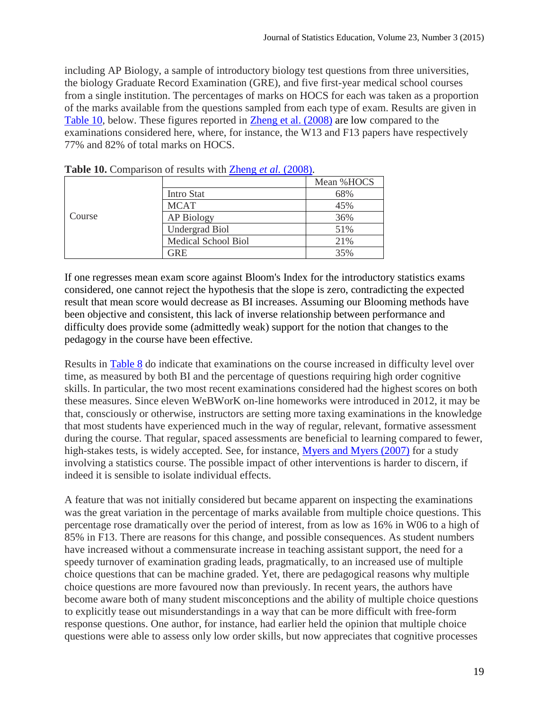including AP Biology, a sample of introductory biology test questions from three universities, the biology Graduate Record Examination (GRE), and five first-year medical school courses from a single institution. The percentages of marks on HOCS for each was taken as a proportion of the marks available from the questions sampled from each type of exam. Results are given in [Table 10,](#page-18-0) below. These figures reported in [Zheng et al.](#page-32-3) (2008) are low compared to the examinations considered here, where, for instance, the W13 and F13 papers have respectively 77% and 82% of total marks on HOCS.

|        |                     | Mean %HOCS |
|--------|---------------------|------------|
| Course | Intro Stat          | 68%        |
|        | <b>MCAT</b>         | 45%        |
|        | <b>AP Biology</b>   | 36%        |
|        | Undergrad Biol      | 51%        |
|        | Medical School Biol | 21%        |
|        | <b>GRE</b>          | 35%        |

<span id="page-18-0"></span>**Table 10.** Comparison of results with Zheng *et al.* [\(2008\).](#page-32-3)

If one regresses mean exam score against Bloom's Index for the introductory statistics exams considered, one cannot reject the hypothesis that the slope is zero, contradicting the expected result that mean score would decrease as BI increases. Assuming our Blooming methods have been objective and consistent, this lack of inverse relationship between performance and difficulty does provide some (admittedly weak) support for the notion that changes to the pedagogy in the course have been effective.

Results in [Table 8](#page-17-0) do indicate that examinations on the course increased in difficulty level over time, as measured by both BI and the percentage of questions requiring high order cognitive skills. In particular, the two most recent examinations considered had the highest scores on both these measures. Since eleven WeBWorK on-line homeworks were introduced in 2012, it may be that, consciously or otherwise, instructors are setting more taxing examinations in the knowledge that most students have experienced much in the way of regular, relevant, formative assessment during the course. That regular, spaced assessments are beneficial to learning compared to fewer, high-stakes tests, is widely accepted. See, for instance, [Myers and Myers \(2007\)](#page-31-10) for a study involving a statistics course. The possible impact of other interventions is harder to discern, if indeed it is sensible to isolate individual effects.

A feature that was not initially considered but became apparent on inspecting the examinations was the great variation in the percentage of marks available from multiple choice questions. This percentage rose dramatically over the period of interest, from as low as 16% in W06 to a high of 85% in F13. There are reasons for this change, and possible consequences. As student numbers have increased without a commensurate increase in teaching assistant support, the need for a speedy turnover of examination grading leads, pragmatically, to an increased use of multiple choice questions that can be machine graded. Yet, there are pedagogical reasons why multiple choice questions are more favoured now than previously. In recent years, the authors have become aware both of many student misconceptions and the ability of multiple choice questions to explicitly tease out misunderstandings in a way that can be more difficult with free-form response questions. One author, for instance, had earlier held the opinion that multiple choice questions were able to assess only low order skills, but now appreciates that cognitive processes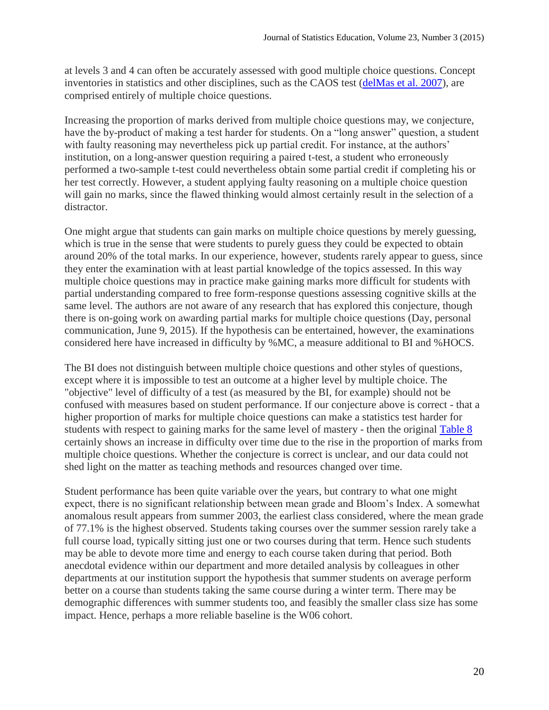at levels 3 and 4 can often be accurately assessed with good multiple choice questions. Concept inventories in statistics and other disciplines, such as the CAOS test [\(delMas et al.](#page-30-12) 2007), are comprised entirely of multiple choice questions.

Increasing the proportion of marks derived from multiple choice questions may, we conjecture, have the by-product of making a test harder for students. On a "long answer" question, a student with faulty reasoning may nevertheless pick up partial credit. For instance, at the authors' institution, on a long-answer question requiring a paired t-test, a student who erroneously performed a two-sample t-test could nevertheless obtain some partial credit if completing his or her test correctly. However, a student applying faulty reasoning on a multiple choice question will gain no marks, since the flawed thinking would almost certainly result in the selection of a distractor.

One might argue that students can gain marks on multiple choice questions by merely guessing, which is true in the sense that were students to purely guess they could be expected to obtain around 20% of the total marks. In our experience, however, students rarely appear to guess, since they enter the examination with at least partial knowledge of the topics assessed. In this way multiple choice questions may in practice make gaining marks more difficult for students with partial understanding compared to free form-response questions assessing cognitive skills at the same level. The authors are not aware of any research that has explored this conjecture, though there is on-going work on awarding partial marks for multiple choice questions (Day, personal communication, June 9, 2015). If the hypothesis can be entertained, however, the examinations considered here have increased in difficulty by %MC, a measure additional to BI and %HOCS.

The BI does not distinguish between multiple choice questions and other styles of questions, except where it is impossible to test an outcome at a higher level by multiple choice. The "objective" level of difficulty of a test (as measured by the BI, for example) should not be confused with measures based on student performance. If our conjecture above is correct - that a higher proportion of marks for multiple choice questions can make a statistics test harder for students with respect to gaining marks for the same level of mastery - then the original [Table 8](#page-17-0) certainly shows an increase in difficulty over time due to the rise in the proportion of marks from multiple choice questions. Whether the conjecture is correct is unclear, and our data could not shed light on the matter as teaching methods and resources changed over time.

Student performance has been quite variable over the years, but contrary to what one might expect, there is no significant relationship between mean grade and Bloom's Index. A somewhat anomalous result appears from summer 2003, the earliest class considered, where the mean grade of 77.1% is the highest observed. Students taking courses over the summer session rarely take a full course load, typically sitting just one or two courses during that term. Hence such students may be able to devote more time and energy to each course taken during that period. Both anecdotal evidence within our department and more detailed analysis by colleagues in other departments at our institution support the hypothesis that summer students on average perform better on a course than students taking the same course during a winter term. There may be demographic differences with summer students too, and feasibly the smaller class size has some impact. Hence, perhaps a more reliable baseline is the W06 cohort.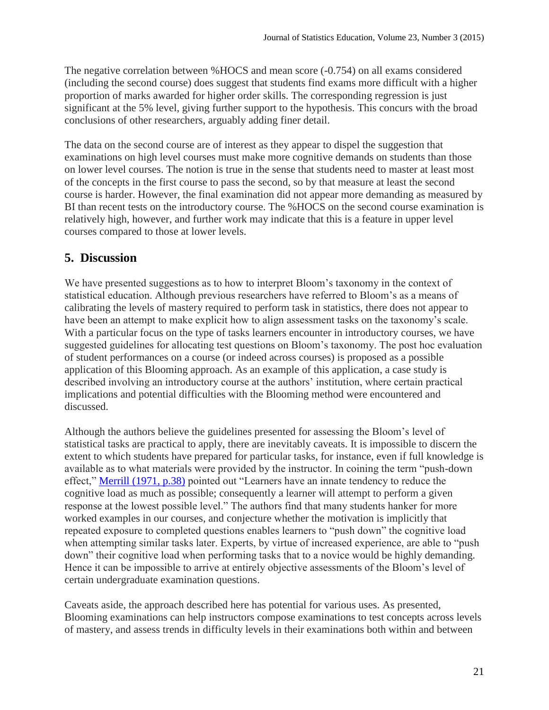The negative correlation between %HOCS and mean score (-0.754) on all exams considered (including the second course) does suggest that students find exams more difficult with a higher proportion of marks awarded for higher order skills. The corresponding regression is just significant at the 5% level, giving further support to the hypothesis. This concurs with the broad conclusions of other researchers, arguably adding finer detail.

The data on the second course are of interest as they appear to dispel the suggestion that examinations on high level courses must make more cognitive demands on students than those on lower level courses. The notion is true in the sense that students need to master at least most of the concepts in the first course to pass the second, so by that measure at least the second course is harder. However, the final examination did not appear more demanding as measured by BI than recent tests on the introductory course. The %HOCS on the second course examination is relatively high, however, and further work may indicate that this is a feature in upper level courses compared to those at lower levels.

## **5. Discussion**

We have presented suggestions as to how to interpret Bloom's taxonomy in the context of statistical education. Although previous researchers have referred to Bloom's as a means of calibrating the levels of mastery required to perform task in statistics, there does not appear to have been an attempt to make explicit how to align assessment tasks on the taxonomy's scale. With a particular focus on the type of tasks learners encounter in introductory courses, we have suggested guidelines for allocating test questions on Bloom's taxonomy. The post hoc evaluation of student performances on a course (or indeed across courses) is proposed as a possible application of this Blooming approach. As an example of this application, a case study is described involving an introductory course at the authors' institution, where certain practical implications and potential difficulties with the Blooming method were encountered and discussed.

Although the authors believe the guidelines presented for assessing the Bloom's level of statistical tasks are practical to apply, there are inevitably caveats. It is impossible to discern the extent to which students have prepared for particular tasks, for instance, even if full knowledge is available as to what materials were provided by the instructor. In coining the term "push-down effect," [Merrill \(1971, p.38\)](#page-31-5) pointed out "Learners have an innate tendency to reduce the cognitive load as much as possible; consequently a learner will attempt to perform a given response at the lowest possible level." The authors find that many students hanker for more worked examples in our courses, and conjecture whether the motivation is implicitly that repeated exposure to completed questions enables learners to "push down" the cognitive load when attempting similar tasks later. Experts, by virtue of increased experience, are able to "push down" their cognitive load when performing tasks that to a novice would be highly demanding. Hence it can be impossible to arrive at entirely objective assessments of the Bloom's level of certain undergraduate examination questions.

Caveats aside, the approach described here has potential for various uses. As presented, Blooming examinations can help instructors compose examinations to test concepts across levels of mastery, and assess trends in difficulty levels in their examinations both within and between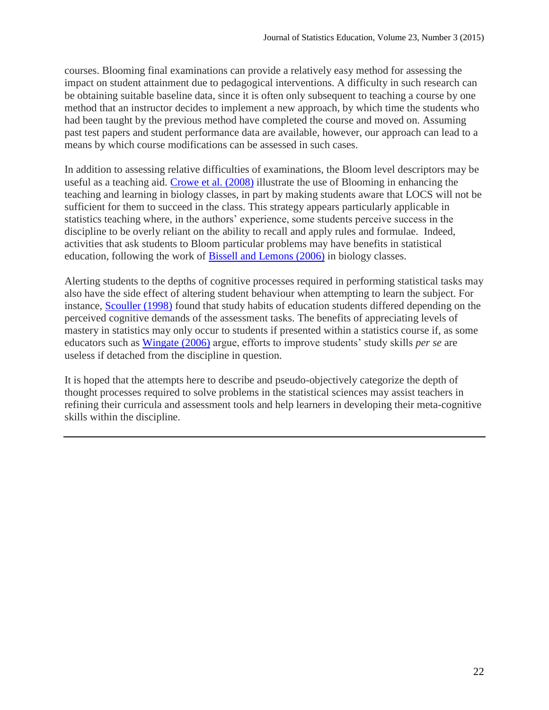courses. Blooming final examinations can provide a relatively easy method for assessing the impact on student attainment due to pedagogical interventions. A difficulty in such research can be obtaining suitable baseline data, since it is often only subsequent to teaching a course by one method that an instructor decides to implement a new approach, by which time the students who had been taught by the previous method have completed the course and moved on. Assuming past test papers and student performance data are available, however, our approach can lead to a means by which course modifications can be assessed in such cases.

In addition to assessing relative difficulties of examinations, the Bloom level descriptors may be useful as a teaching aid. [Crowe et al.](#page-29-6) (2008) illustrate the use of Blooming in enhancing the teaching and learning in biology classes, in part by making students aware that LOCS will not be sufficient for them to succeed in the class. This strategy appears particularly applicable in statistics teaching where, in the authors' experience, some students perceive success in the discipline to be overly reliant on the ability to recall and apply rules and formulae. Indeed, activities that ask students to Bloom particular problems may have benefits in statistical education, following the work of [Bissell and Lemons \(2006\)](#page-29-10) in biology classes.

Alerting students to the depths of cognitive processes required in performing statistical tasks may also have the side effect of altering student behaviour when attempting to learn the subject. For instance, [Scouller \(1998\)](#page-31-11) found that study habits of education students differed depending on the perceived cognitive demands of the assessment tasks. The benefits of appreciating levels of mastery in statistics may only occur to students if presented within a statistics course if, as some educators such as [Wingate \(2006\)](#page-32-6) argue, efforts to improve students' study skills *per se* are useless if detached from the discipline in question.

<span id="page-21-0"></span>It is hoped that the attempts here to describe and pseudo-objectively categorize the depth of thought processes required to solve problems in the statistical sciences may assist teachers in refining their curricula and assessment tools and help learners in developing their meta-cognitive skills within the discipline.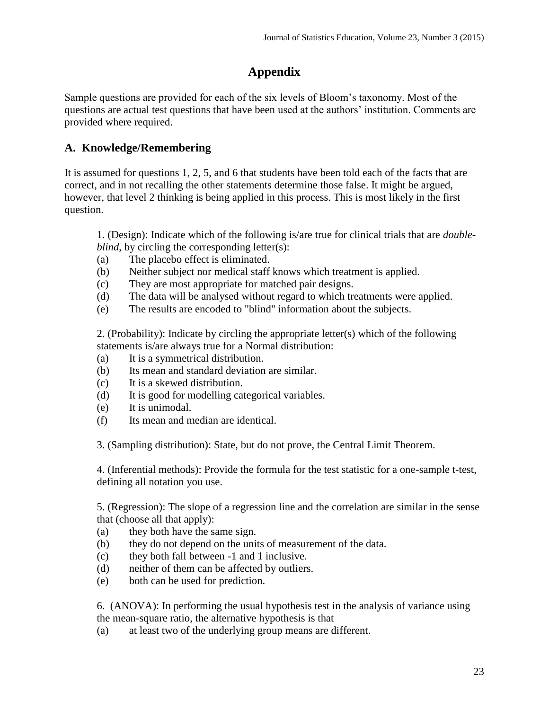# **Appendix**

Sample questions are provided for each of the six levels of Bloom's taxonomy. Most of the questions are actual test questions that have been used at the authors' institution. Comments are provided where required.

## **A. Knowledge/Remembering**

It is assumed for questions 1, 2, 5, and 6 that students have been told each of the facts that are correct, and in not recalling the other statements determine those false. It might be argued, however, that level 2 thinking is being applied in this process. This is most likely in the first question.

1. (Design): Indicate which of the following is/are true for clinical trials that are *doubleblind*, by circling the corresponding letter(s):

- (a) The placebo effect is eliminated.
- (b) Neither subject nor medical staff knows which treatment is applied.
- (c) They are most appropriate for matched pair designs.
- (d) The data will be analysed without regard to which treatments were applied.
- (e) The results are encoded to "blind" information about the subjects.

2. (Probability): Indicate by circling the appropriate letter(s) which of the following statements is/are always true for a Normal distribution:

- (a) It is a symmetrical distribution.
- (b) Its mean and standard deviation are similar.
- (c) It is a skewed distribution.
- (d) It is good for modelling categorical variables.
- (e) It is unimodal.
- (f) Its mean and median are identical.

3. (Sampling distribution): State, but do not prove, the Central Limit Theorem.

4. (Inferential methods): Provide the formula for the test statistic for a one-sample t-test, defining all notation you use.

5. (Regression): The slope of a regression line and the correlation are similar in the sense that (choose all that apply):

- (a) they both have the same sign.
- (b) they do not depend on the units of measurement of the data.
- (c) they both fall between -1 and 1 inclusive.
- (d) neither of them can be affected by outliers.
- (e) both can be used for prediction.

6. (ANOVA): In performing the usual hypothesis test in the analysis of variance using the mean-square ratio, the alternative hypothesis is that

(a) at least two of the underlying group means are different.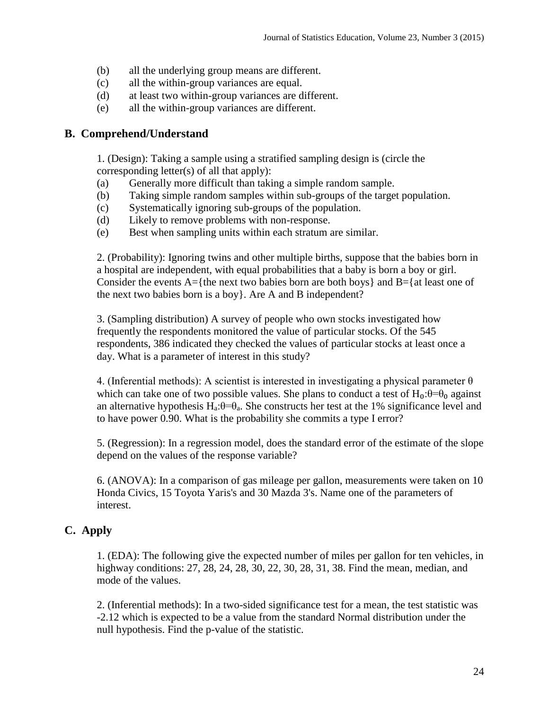- (b) all the underlying group means are different.
- (c) all the within-group variances are equal.
- (d) at least two within-group variances are different.
- (e) all the within-group variances are different.

#### **B. Comprehend/Understand**

1. (Design): Taking a sample using a stratified sampling design is (circle the corresponding letter(s) of all that apply):

- (a) Generally more difficult than taking a simple random sample.
- (b) Taking simple random samples within sub-groups of the target population.
- (c) Systematically ignoring sub-groups of the population.
- (d) Likely to remove problems with non-response.
- (e) Best when sampling units within each stratum are similar.

2. (Probability): Ignoring twins and other multiple births, suppose that the babies born in a hospital are independent, with equal probabilities that a baby is born a boy or girl. Consider the events A={the next two babies born are both boys} and B={at least one of the next two babies born is a boy}. Are A and B independent?

3. (Sampling distribution) A survey of people who own stocks investigated how frequently the respondents monitored the value of particular stocks. Of the 545 respondents, 386 indicated they checked the values of particular stocks at least once a day. What is a parameter of interest in this study?

4. (Inferential methods): A scientist is interested in investigating a physical parameter  $\theta$ which can take one of two possible values. She plans to conduct a test of  $H_0$ : $\theta = \theta_0$  against an alternative hypothesis  $H_a$ : $\theta = \theta_a$ . She constructs her test at the 1% significance level and to have power 0.90. What is the probability she commits a type I error?

5. (Regression): In a regression model, does the standard error of the estimate of the slope depend on the values of the response variable?

6. (ANOVA): In a comparison of gas mileage per gallon, measurements were taken on 10 Honda Civics, 15 Toyota Yaris's and 30 Mazda 3's. Name one of the parameters of interest.

### **C. Apply**

1. (EDA): The following give the expected number of miles per gallon for ten vehicles, in highway conditions: 27, 28, 24, 28, 30, 22, 30, 28, 31, 38. Find the mean, median, and mode of the values.

2. (Inferential methods): In a two-sided significance test for a mean, the test statistic was -2.12 which is expected to be a value from the standard Normal distribution under the null hypothesis. Find the p-value of the statistic.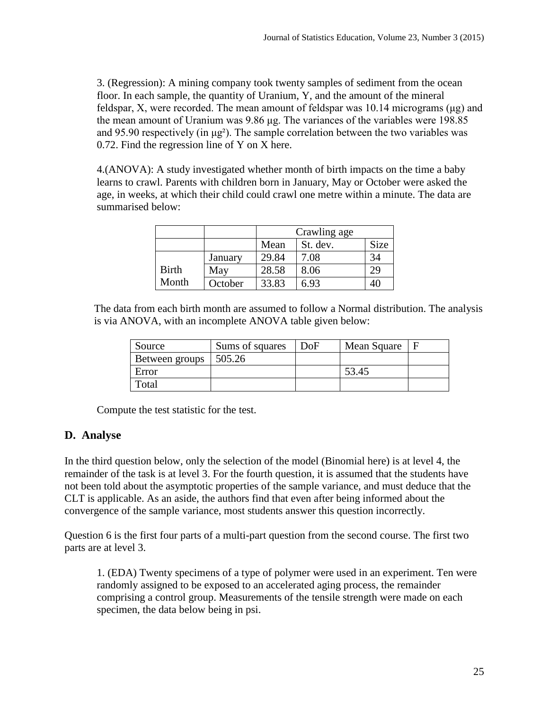3. (Regression): A mining company took twenty samples of sediment from the ocean floor. In each sample, the quantity of Uranium, Y, and the amount of the mineral feldspar, X, were recorded. The mean amount of feldspar was 10.14 micrograms (μg) and the mean amount of Uranium was 9.86 μg. The variances of the variables were 198.85 and 95.90 respectively (in μg²). The sample correlation between the two variables was 0.72. Find the regression line of Y on X here.

4.(ANOVA): A study investigated whether month of birth impacts on the time a baby learns to crawl. Parents with children born in January, May or October were asked the age, in weeks, at which their child could crawl one metre within a minute. The data are summarised below:

|              |         | Crawling age |          |      |  |
|--------------|---------|--------------|----------|------|--|
|              |         | Mean         | St. dev. | Size |  |
|              | January | 29.84        | 7.08     | 34   |  |
| <b>Birth</b> | May     | 28.58        | 8.06     | 29   |  |
| Month        | October | 33.83        | 6.93     | 40   |  |

 The data from each birth month are assumed to follow a Normal distribution. The analysis is via ANOVA, with an incomplete ANOVA table given below:

| Source         | Sums of squares | DoF | Mean Square |  |
|----------------|-----------------|-----|-------------|--|
| Between groups | 1505.26         |     |             |  |
| Error          |                 |     | 53.45       |  |
| Total          |                 |     |             |  |

Compute the test statistic for the test.

#### **D. Analyse**

In the third question below, only the selection of the model (Binomial here) is at level 4, the remainder of the task is at level 3. For the fourth question, it is assumed that the students have not been told about the asymptotic properties of the sample variance, and must deduce that the CLT is applicable. As an aside, the authors find that even after being informed about the convergence of the sample variance, most students answer this question incorrectly.

Question 6 is the first four parts of a multi-part question from the second course. The first two parts are at level 3.

1. (EDA) Twenty specimens of a type of polymer were used in an experiment. Ten were randomly assigned to be exposed to an accelerated aging process, the remainder comprising a control group. Measurements of the tensile strength were made on each specimen, the data below being in psi.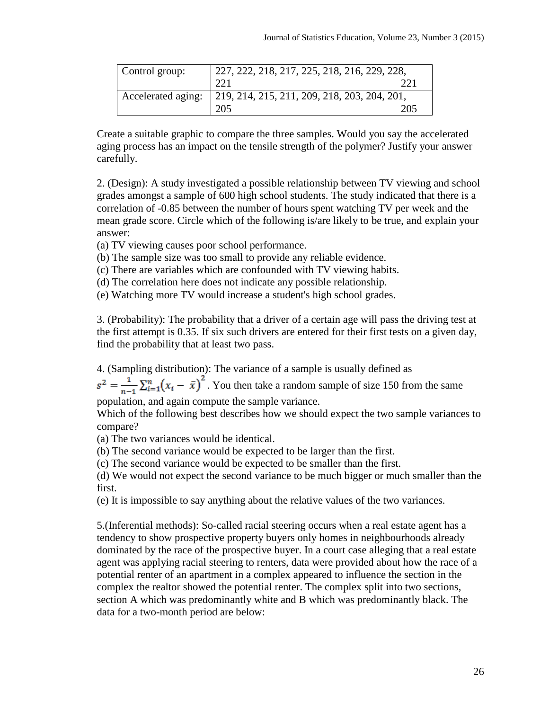| Control group: | 227, 222, 218, 217, 225, 218, 216, 229, 228,                      |     |
|----------------|-------------------------------------------------------------------|-----|
|                | 221                                                               |     |
|                | Accelerated aging:   219, 214, 215, 211, 209, 218, 203, 204, 201, |     |
|                | 205                                                               | 205 |

Create a suitable graphic to compare the three samples. Would you say the accelerated aging process has an impact on the tensile strength of the polymer? Justify your answer carefully.

2. (Design): A study investigated a possible relationship between TV viewing and school grades amongst a sample of 600 high school students. The study indicated that there is a correlation of -0.85 between the number of hours spent watching TV per week and the mean grade score. Circle which of the following is/are likely to be true, and explain your answer:

(a) TV viewing causes poor school performance.

(b) The sample size was too small to provide any reliable evidence.

(c) There are variables which are confounded with TV viewing habits.

(d) The correlation here does not indicate any possible relationship.

(e) Watching more TV would increase a student's high school grades.

3. (Probability): The probability that a driver of a certain age will pass the driving test at the first attempt is 0.35. If six such drivers are entered for their first tests on a given day, find the probability that at least two pass.

4. (Sampling distribution): The variance of a sample is usually defined as

 $s^2 = \frac{1}{n-1} \sum_{i=1}^n (x_i - \bar{x})^2$ . You then take a random sample of size 150 from the same population, and again compute the sample variance.

Which of the following best describes how we should expect the two sample variances to compare?

(a) The two variances would be identical.

(b) The second variance would be expected to be larger than the first.

(c) The second variance would be expected to be smaller than the first.

(d) We would not expect the second variance to be much bigger or much smaller than the first.

(e) It is impossible to say anything about the relative values of the two variances.

5.(Inferential methods): So-called racial steering occurs when a real estate agent has a tendency to show prospective property buyers only homes in neighbourhoods already dominated by the race of the prospective buyer. In a court case alleging that a real estate agent was applying racial steering to renters, data were provided about how the race of a potential renter of an apartment in a complex appeared to influence the section in the complex the realtor showed the potential renter. The complex split into two sections, section A which was predominantly white and B which was predominantly black. The data for a two-month period are below: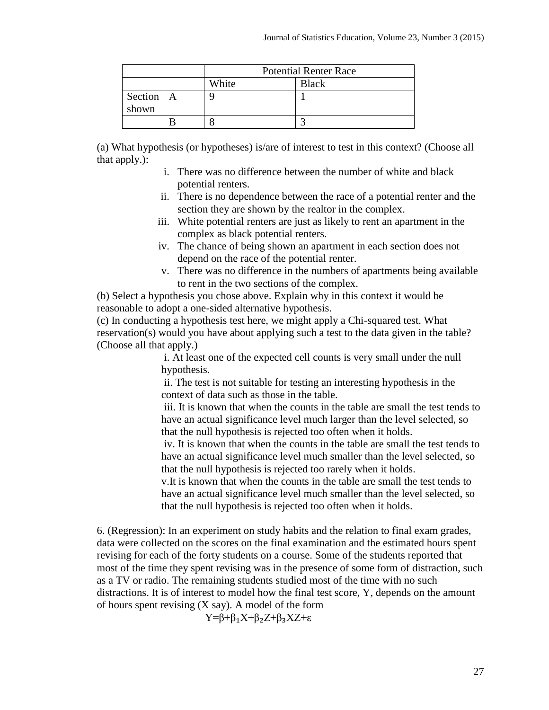|                      | <b>Potential Renter Race</b> |              |  |
|----------------------|------------------------------|--------------|--|
|                      | White                        | <b>Black</b> |  |
| Section   A<br>shown |                              |              |  |
|                      |                              |              |  |

(a) What hypothesis (or hypotheses) is/are of interest to test in this context? (Choose all that apply.):

- i. There was no difference between the number of white and black potential renters.
- ii. There is no dependence between the race of a potential renter and the section they are shown by the realtor in the complex.
- iii. White potential renters are just as likely to rent an apartment in the complex as black potential renters.
- iv. The chance of being shown an apartment in each section does not depend on the race of the potential renter.
- v. There was no difference in the numbers of apartments being available to rent in the two sections of the complex.

(b) Select a hypothesis you chose above. Explain why in this context it would be reasonable to adopt a one-sided alternative hypothesis.

(c) In conducting a hypothesis test here, we might apply a Chi-squared test. What reservation(s) would you have about applying such a test to the data given in the table? (Choose all that apply.)

i. At least one of the expected cell counts is very small under the null hypothesis.

ii. The test is not suitable for testing an interesting hypothesis in the context of data such as those in the table.

iii. It is known that when the counts in the table are small the test tends to have an actual significance level much larger than the level selected, so that the null hypothesis is rejected too often when it holds.

iv. It is known that when the counts in the table are small the test tends to have an actual significance level much smaller than the level selected, so that the null hypothesis is rejected too rarely when it holds.

v.It is known that when the counts in the table are small the test tends to have an actual significance level much smaller than the level selected, so that the null hypothesis is rejected too often when it holds.

6. (Regression): In an experiment on study habits and the relation to final exam grades, data were collected on the scores on the final examination and the estimated hours spent revising for each of the forty students on a course. Some of the students reported that most of the time they spent revising was in the presence of some form of distraction, such as a TV or radio. The remaining students studied most of the time with no such distractions. It is of interest to model how the final test score, Y, depends on the amount of hours spent revising  $(X \text{ say})$ . A model of the form

 $Y=\beta+\beta_1X+\beta_2Z+\beta_3XZ+\epsilon$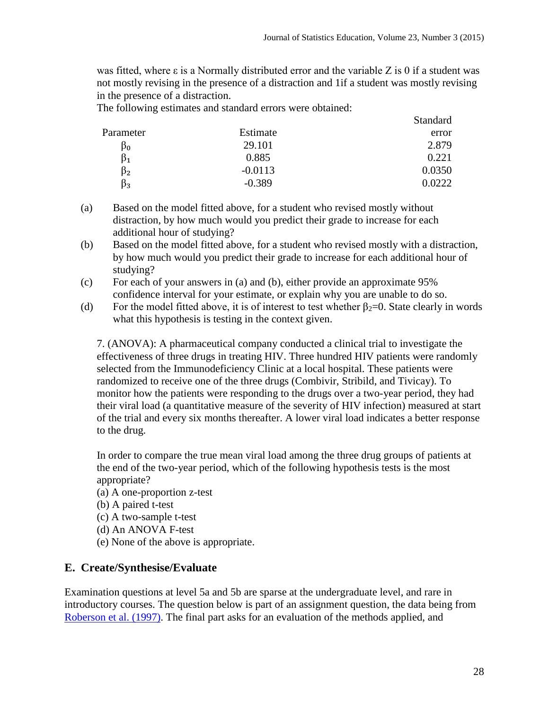$\sigma_1$   $\sigma_2$   $\sigma_3$ 

was fitted, where  $\epsilon$  is a Normally distributed error and the variable Z is 0 if a student was not mostly revising in the presence of a distraction and 1if a student was mostly revising in the presence of a distraction.

The following estimates and standard errors were obtained:

|                |           | Standard |
|----------------|-----------|----------|
| Parameter      | Estimate  | error    |
| βo             | 29.101    | 2.879    |
| P <sub>1</sub> | 0.885     | 0.221    |
| $\beta_2$      | $-0.0113$ | 0.0350   |
| $\beta_3$      | $-0.389$  | 0.0222   |
|                |           |          |

- (a) Based on the model fitted above, for a student who revised mostly without distraction, by how much would you predict their grade to increase for each additional hour of studying?
- (b) Based on the model fitted above, for a student who revised mostly with a distraction, by how much would you predict their grade to increase for each additional hour of studying?
- (c) For each of your answers in (a) and (b), either provide an approximate 95% confidence interval for your estimate, or explain why you are unable to do so.
- (d) For the model fitted above, it is of interest to test whether  $\beta_2=0$ . State clearly in words what this hypothesis is testing in the context given.

7. (ANOVA): A pharmaceutical company conducted a clinical trial to investigate the effectiveness of three drugs in treating HIV. Three hundred HIV patients were randomly selected from the Immunodeficiency Clinic at a local hospital. These patients were randomized to receive one of the three drugs (Combivir, Stribild, and Tivicay). To monitor how the patients were responding to the drugs over a two-year period, they had their viral load (a quantitative measure of the severity of HIV infection) measured at start of the trial and every six months thereafter. A lower viral load indicates a better response to the drug.

In order to compare the true mean viral load among the three drug groups of patients at the end of the two-year period, which of the following hypothesis tests is the most appropriate?

- (a) A one-proportion z-test
- (b) A paired t-test
- (c) A two-sample t-test
- (d) An ANOVA F-test
- (e) None of the above is appropriate.

#### **E. Create/Synthesise/Evaluate**

Examination questions at level 5a and 5b are sparse at the undergraduate level, and rare in introductory courses. The question below is part of an assignment question, the data being from [Roberson et al.](#page-31-12) (1997). The final part asks for an evaluation of the methods applied, and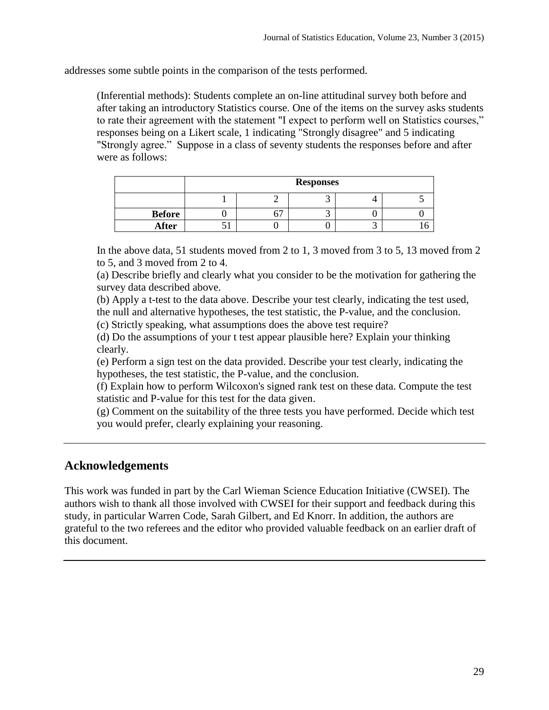addresses some subtle points in the comparison of the tests performed.

(Inferential methods): Students complete an on-line attitudinal survey both before and after taking an introductory Statistics course. One of the items on the survey asks students to rate their agreement with the statement "I expect to perform well on Statistics courses," responses being on a Likert scale, 1 indicating "Strongly disagree" and 5 indicating "Strongly agree." Suppose in a class of seventy students the responses before and after were as follows:

|               | <b>Responses</b> |  |   |  |  |
|---------------|------------------|--|---|--|--|
|               |                  |  | ັ |  |  |
| <b>Before</b> |                  |  | ັ |  |  |
| <b>After</b>  |                  |  |   |  |  |

In the above data, 51 students moved from 2 to 1, 3 moved from 3 to 5, 13 moved from 2 to 5, and 3 moved from 2 to 4.

(a) Describe briefly and clearly what you consider to be the motivation for gathering the survey data described above.

(b) Apply a t-test to the data above. Describe your test clearly, indicating the test used, the null and alternative hypotheses, the test statistic, the P-value, and the conclusion.

(c) Strictly speaking, what assumptions does the above test require?

(d) Do the assumptions of your t test appear plausible here? Explain your thinking clearly.

(e) Perform a sign test on the data provided. Describe your test clearly, indicating the hypotheses, the test statistic, the P-value, and the conclusion.

(f) Explain how to perform Wilcoxon's signed rank test on these data. Compute the test statistic and P-value for this test for the data given.

(g) Comment on the suitability of the three tests you have performed. Decide which test you would prefer, clearly explaining your reasoning.

## **Acknowledgements**

This work was funded in part by the Carl Wieman Science Education Initiative (CWSEI). The authors wish to thank all those involved with CWSEI for their support and feedback during this study, in particular Warren Code, Sarah Gilbert, and Ed Knorr. In addition, the authors are grateful to the two referees and the editor who provided valuable feedback on an earlier draft of this document.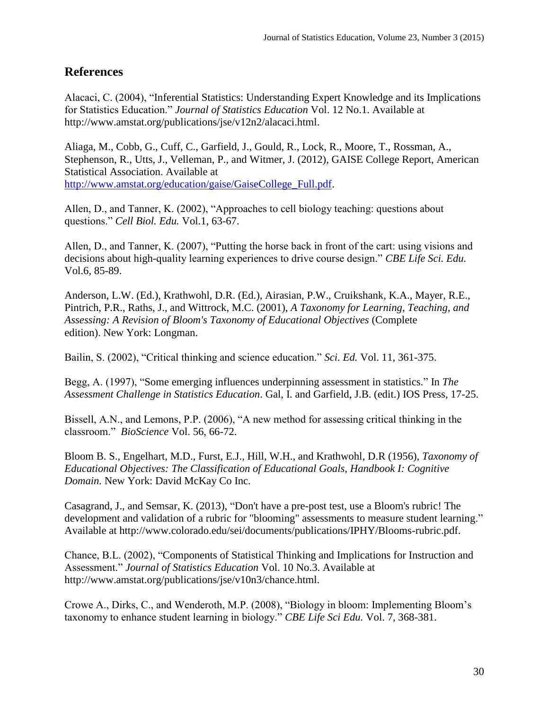### **References**

<span id="page-29-2"></span>Alacaci, C. (2004), "Inferential Statistics: Understanding Expert Knowledge and its Implications for Statistics Education." *Journal of Statistics Education* Vol. 12 No.1. Available at http://www.amstat.org/publications/jse/v12n2/alacaci.html.

<span id="page-29-7"></span>Aliaga, M., Cobb, G., Cuff, C., Garfield, J., Gould, R., Lock, R., Moore, T., Rossman, A., Stephenson, R., Utts, J., Velleman, P., and Witmer, J. (2012), GAISE College Report, American Statistical Association. Available at [http://www.amstat.org/education/gaise/GaiseCollege\\_Full.pdf.](http://www.amstat.org/education/gaise/GaiseCollege_Full.pdf)

<span id="page-29-4"></span>Allen, D., and Tanner, K. (2002), "Approaches to cell biology teaching: questions about questions." *Cell Biol. Edu.* Vol.1, 63-67.

<span id="page-29-5"></span>Allen, D., and Tanner, K. (2007), "Putting the horse back in front of the cart: using visions and decisions about high-quality learning experiences to drive course design." *CBE Life Sci. Edu.*  Vol.6, 85-89.

<span id="page-29-9"></span>Anderson, L.W. (Ed.), Krathwohl, D.R. (Ed.), Airasian, P.W., Cruikshank, K.A., Mayer, R.E., Pintrich, P.R., Raths, J., and Wittrock, M.C. (2001), *A Taxonomy for Learning, Teaching, and Assessing: A Revision of Bloom's Taxonomy of Educational Objectives* (Complete edition). New York: Longman.

<span id="page-29-8"></span>Bailin, S. (2002), "Critical thinking and science education." *Sci. Ed.* Vol. 11, 361-375.

<span id="page-29-0"></span>Begg, A. (1997), "Some emerging influences underpinning assessment in statistics." In *The Assessment Challenge in Statistics Education*. Gal, I. and Garfield, J.B. (edit.) IOS Press, 17-25.

<span id="page-29-10"></span>Bissell, A.N., and Lemons, P.P. (2006), "A new method for assessing critical thinking in the classroom." *BioScience* Vol. 56, 66-72.

<span id="page-29-3"></span>Bloom B. S., Engelhart, M.D., Furst, E.J., Hill, W.H., and Krathwohl, D.R (1956), *Taxonomy of Educational Objectives: The Classification of Educational Goals, Handbook I: Cognitive Domain.* New York: David McKay Co Inc.

<span id="page-29-11"></span>Casagrand, J., and Semsar, K. (2013), ["Don't have a pre-post test, use a Bloom's rubric! The](http://www.colorado.edu/sei/documents/publications/IPHY/Blooms-rubric.pdf)  [development and validation of a rubric for "blooming" assessments to measure student learning.](http://www.colorado.edu/sei/documents/publications/IPHY/Blooms-rubric.pdf)" Available at http://www.colorado.edu/sei/documents/publications/IPHY/Blooms-rubric.pdf.

<span id="page-29-1"></span>Chance, B.L. (2002), "Components of Statistical Thinking and Implications for Instruction and Assessment." *Journal of Statistics Education* Vol. 10 No.3. Available at http://www.amstat.org/publications/jse/v10n3/chance.html.

<span id="page-29-6"></span>Crowe A., Dirks, C., and Wenderoth, M.P. (2008), "Biology in bloom: Implementing Bloom's taxonomy to enhance student learning in biology." *CBE Life Sci Edu.* Vol. 7, 368-381.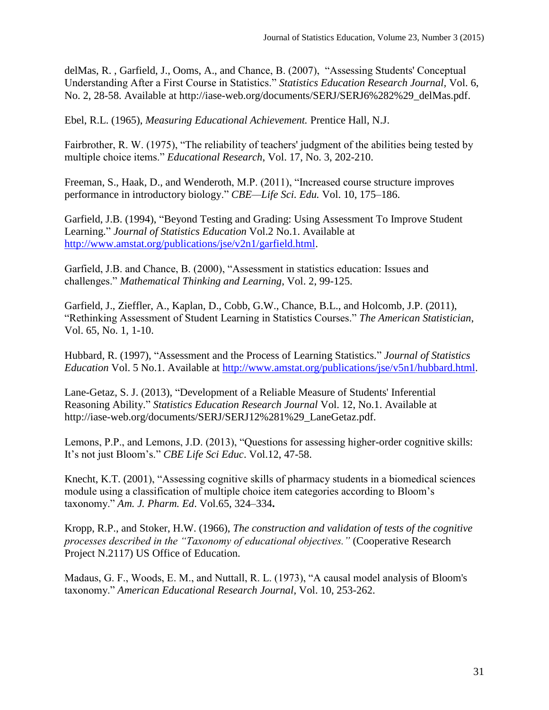<span id="page-30-12"></span>delMas, R. , Garfield, J., Ooms, A., and Chance, B. (2007), "Assessing Students' Conceptual Understanding After a First Course in Statistics." *Statistics Education Research Journal,* Vol. 6, No. 2, 28-58. Available at http://iase-web.org/documents/SERJ/SERJ6%282%29\_delMas.pdf.

<span id="page-30-9"></span>Ebel, R.L. (1965), *Measuring Educational Achievement.* Prentice Hall, N.J.

<span id="page-30-7"></span>Fairbrother, R. W. (1975), "The reliability of teachers' judgment of the abilities being tested by multiple choice items." *Educational Research*, Vol. 17, No. 3, 202-210.

<span id="page-30-10"></span>Freeman, S., Haak, D., and Wenderoth, M.P. (2011), "Increased course structure improves performance in introductory biology." *CBE—Life Sci. Edu.* Vol. 10, 175–186.

<span id="page-30-1"></span>Garfield, J.B. (1994), "Beyond Testing and Grading: Using Assessment To Improve Student Learning." *Journal of Statistics Education* Vol.2 No.1. Available at [http://www.amstat.org/publications/jse/v2n1/garfield.html.](http://www.amstat.org/publications/jse/v2n1/garfield.html)

<span id="page-30-2"></span>Garfield, J.B. and Chance, B. (2000), "Assessment in statistics education: Issues and challenges." *Mathematical Thinking and Learning*, Vol. 2, 99-125.

<span id="page-30-4"></span>Garfield, J., Zieffler, A., Kaplan, D., Cobb, G.W., Chance, B.L., and Holcomb, J.P. (2011), "Rethinking Assessment of Student Learning in Statistics Courses." *The American Statistician*, Vol. 65, No. 1, 1-10.

<span id="page-30-0"></span>Hubbard, R. (1997), "Assessment and the Process of Learning Statistics." *Journal of Statistics Education* Vol. 5 No.1. Available at [http://www.amstat.org/publications/jse/v5n1/hubbard.html.](http://www.amstat.org/publications/jse/v5n1/hubbard.html)

<span id="page-30-3"></span>Lane-Getaz, S. J. (2013), "Development of a Reliable Measure of Students' Inferential Reasoning Ability." *Statistics Education Research Journal* Vol. 12, No.1. Available at http://iase-web.org/documents/SERJ/SERJ12%281%29\_LaneGetaz.pdf.

<span id="page-30-11"></span>Lemons, P.P., and Lemons, J.D. (2013), "Questions for assessing higher-order cognitive skills: It's not just Bloom's." *CBE Life Sci Educ*. Vol.12, 47-58.

<span id="page-30-6"></span>Knecht, K.T. (2001), "Assessing cognitive skills of pharmacy students in a biomedical sciences module using a classification of multiple choice item categories according to Bloom's taxonomy." *Am. J. Pharm. Ed*. Vol.65, 324–334**.**

<span id="page-30-8"></span>Kropp, R.P., and Stoker, H.W. (1966), *The construction and validation of tests of the cognitive processes described in the "Taxonomy of educational objectives."* (Cooperative Research Project N.2117) US Office of Education.

<span id="page-30-5"></span>Madaus, G. F., Woods, E. M., and Nuttall, R. L. (1973), "A causal model analysis of Bloom's taxonomy." *American Educational Research Journal*, Vol. 10, 253-262.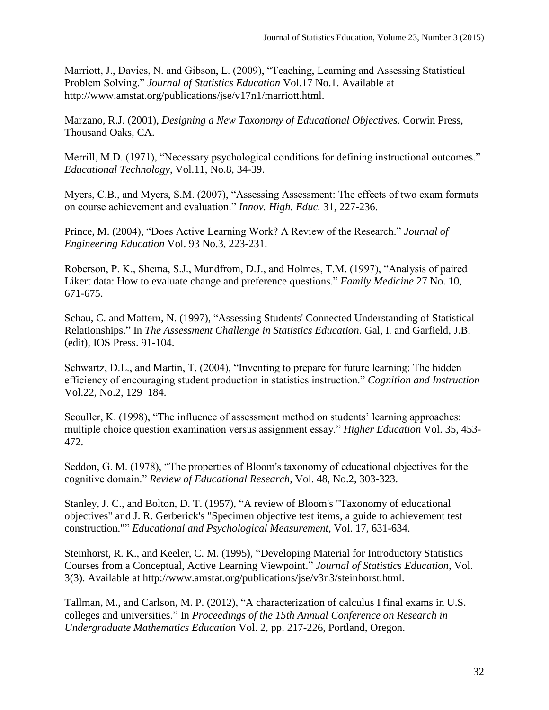<span id="page-31-2"></span>Marriott, J., Davies, N. and Gibson, L. (2009), "Teaching, Learning and Assessing Statistical Problem Solving." *Journal of Statistics Education* Vol.17 No.1. Available at http://www.amstat.org/publications/jse/v17n1/marriott.html.

<span id="page-31-6"></span>Marzano, R.J. (2001), *Designing a New Taxonomy of Educational Objectives.* Corwin Press, Thousand Oaks, CA.

<span id="page-31-5"></span>Merrill, M.D. (1971), "Necessary psychological conditions for defining instructional outcomes." *Educational Technology*, Vol.11, No.8, 34-39.

<span id="page-31-10"></span>Myers, C.B., and Myers, S.M. (2007), "Assessing Assessment: The effects of two exam formats on course achievement and evaluation." *Innov. High. Educ.* 31, 227-236.

<span id="page-31-3"></span>Prince, M. (2004), "Does Active Learning Work? A Review of the Research." *Journal of Engineering Education* Vol. 93 No.3, 223-231.

<span id="page-31-12"></span>Roberson, P. K., Shema, S.J., Mundfrom, D.J., and Holmes, T.M. (1997), "Analysis of paired Likert data: How to evaluate change and preference questions." *Family Medicine* 27 No. 10, 671-675.

<span id="page-31-1"></span>Schau, C. and Mattern, N. (1997), "Assessing Students' Connected Understanding of Statistical Relationships." In *The Assessment Challenge in Statistics Education*. Gal, I. and Garfield, J.B. (edit), IOS Press. 91-104.

<span id="page-31-9"></span>Schwartz, D.L., and Martin, T. (2004), "Inventing to prepare for future learning: The hidden efficiency of encouraging student production in statistics instruction." *Cognition and Instruction* Vol.22, No.2, 129–184.

<span id="page-31-11"></span>Scouller, K. (1998), "The influence of assessment method on students' learning approaches: multiple choice question examination versus assignment essay." *Higher Education* Vol. 35, 453- 472.

<span id="page-31-8"></span>Seddon, G. M. (1978), "The properties of Bloom's taxonomy of educational objectives for the cognitive domain." *Review of Educational Research*, Vol. 48, No.2, 303-323.

<span id="page-31-4"></span>Stanley, J. C., and Bolton, D. T. (1957), "A review of Bloom's "Taxonomy of educational objectives" and J. R. Gerberick's "Specimen objective test items, a guide to achievement test construction."" *Educational and Psychological Measurement*, Vol. 17, 631-634.

<span id="page-31-0"></span>Steinhorst, R. K., and Keeler, C. M. (1995), "Developing Material for Introductory Statistics Courses from a Conceptual, Active Learning Viewpoint." *Journal of Statistics Education*, Vol. 3(3). Available at http://www.amstat.org/publications/jse/v3n3/steinhorst.html.

<span id="page-31-7"></span>Tallman, M., and Carlson, M. P. (2012), "A characterization of calculus I final exams in U.S. colleges and universities." In *Proceedings of the 15th Annual Conference on Research in Undergraduate Mathematics Education* Vol. 2, pp. 217-226, Portland, Oregon.